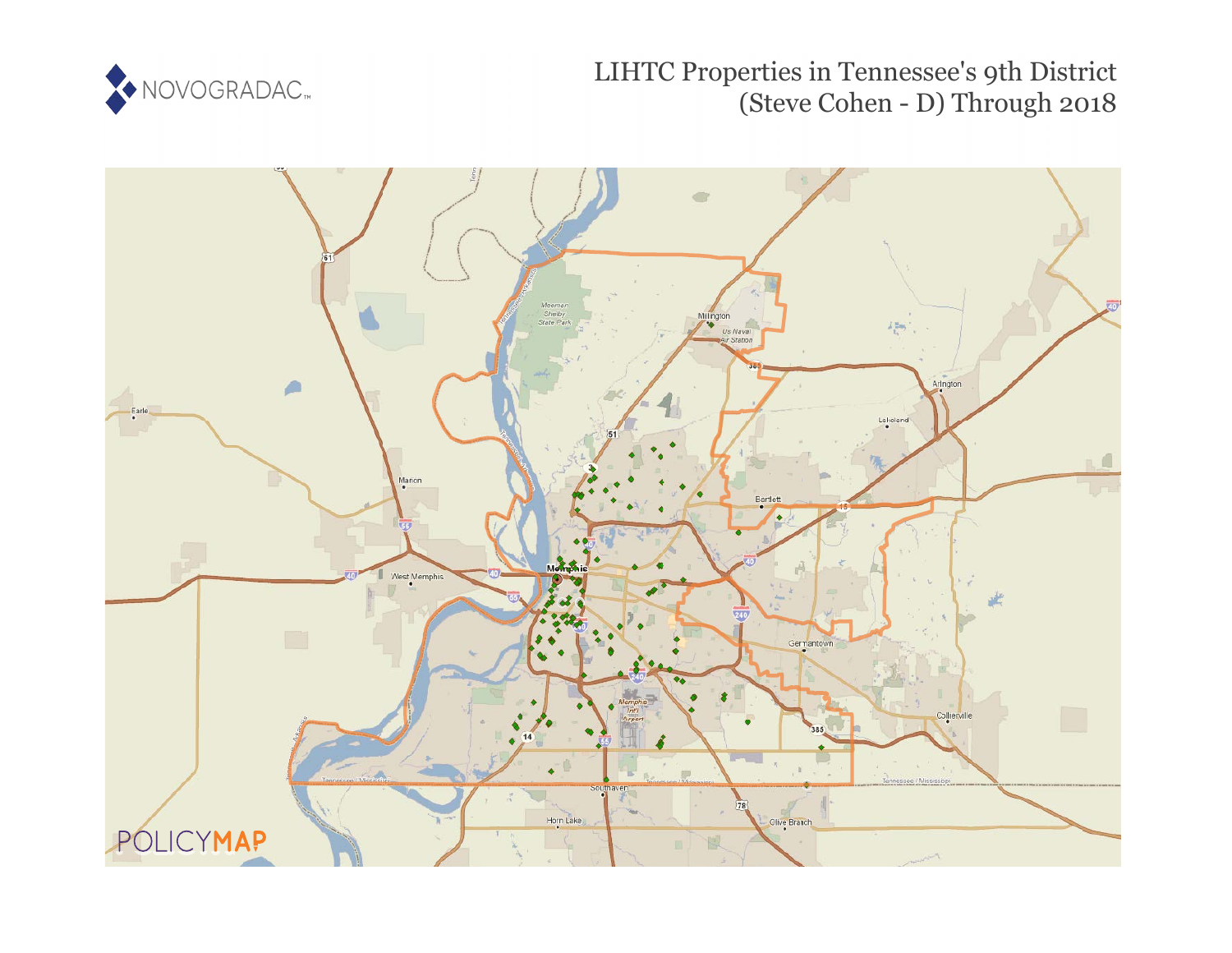

# LIHTC Properties in Tennessee's 9th District (Steve Cohen - D) Through 2018

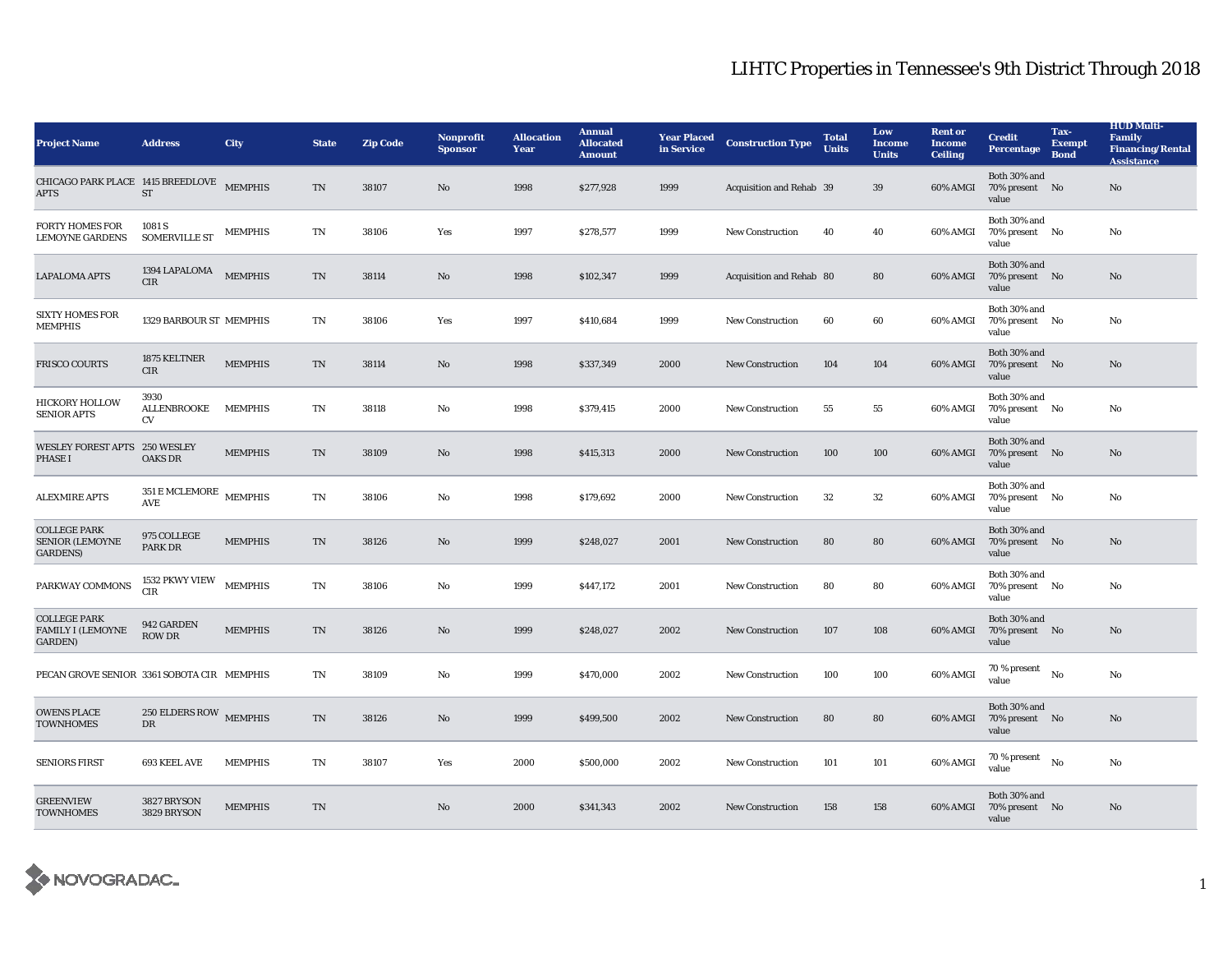| <b>Project Name</b>                                               | <b>Address</b>                                             | City           | <b>State</b> | <b>Zip Code</b> | <b>Nonprofit</b><br><b>Sponsor</b> | <b>Allocation</b><br>Year | <b>Annual</b><br><b>Allocated</b><br><b>Amount</b> | <b>Year Placed</b><br>in Service | <b>Construction Type</b> | <b>Total</b><br><b>Units</b> | Low<br><b>Income</b><br><b>Units</b> | <b>Rent or</b><br><b>Income</b><br><b>Ceiling</b> | <b>Credit</b><br><b>Percentage</b>      | Tax-<br><b>Exempt</b><br><b>Bond</b> | <b>HUD Multi-</b><br><b>Family</b><br><b>Financing/Rental</b><br><b>Assistance</b> |
|-------------------------------------------------------------------|------------------------------------------------------------|----------------|--------------|-----------------|------------------------------------|---------------------------|----------------------------------------------------|----------------------------------|--------------------------|------------------------------|--------------------------------------|---------------------------------------------------|-----------------------------------------|--------------------------------------|------------------------------------------------------------------------------------|
| CHICAGO PARK PLACE 1415 BREEDLOVE MEMPHIS<br><b>APTS</b>          | ${\rm ST}$                                                 |                | TN           | 38107           | No                                 | 1998                      | \$277,928                                          | 1999                             | Acquisition and Rehab 39 |                              | 39                                   | 60% AMGI                                          | Both 30% and<br>70% present No<br>value |                                      | No                                                                                 |
| <b>FORTY HOMES FOR</b><br><b>LEMOYNE GARDENS</b>                  | 1081 S<br><b>SOMERVILLE ST</b>                             | <b>MEMPHIS</b> | TN           | 38106           | Yes                                | 1997                      | \$278,577                                          | 1999                             | <b>New Construction</b>  | 40                           | 40                                   | 60% AMGI                                          | Both 30% and<br>70% present No<br>value |                                      | No                                                                                 |
| <b>LAPALOMA APTS</b>                                              | 1394 LAPALOMA<br><b>CIR</b>                                | <b>MEMPHIS</b> | TN           | 38114           | No                                 | 1998                      | \$102,347                                          | 1999                             | Acquisition and Rehab 80 |                              | 80                                   | 60% AMGI                                          | Both 30% and<br>70% present No<br>value |                                      | No                                                                                 |
| <b>SIXTY HOMES FOR</b><br><b>MEMPHIS</b>                          | 1329 BARBOUR ST MEMPHIS                                    |                | TN           | 38106           | Yes                                | 1997                      | \$410,684                                          | 1999                             | <b>New Construction</b>  | 60                           | 60                                   | 60% AMGI                                          | Both 30% and<br>70% present No<br>value |                                      | No                                                                                 |
| FRISCO COURTS                                                     | 1875 KELTNER<br><b>CIR</b>                                 | <b>MEMPHIS</b> | TN           | 38114           | No                                 | 1998                      | \$337,349                                          | 2000                             | New Construction         | 104                          | 104                                  | 60% AMGI                                          | Both 30% and<br>70% present No<br>value |                                      | No                                                                                 |
| <b>HICKORY HOLLOW</b><br><b>SENIOR APTS</b>                       | 3930<br>ALLENBROOKE<br>CV                                  | <b>MEMPHIS</b> | TN           | 38118           | No                                 | 1998                      | \$379,415                                          | 2000                             | <b>New Construction</b>  | 55                           | 55                                   | 60% AMGI                                          | Both 30% and<br>70% present No<br>value |                                      | No                                                                                 |
| WESLEY FOREST APTS 250 WESLEY<br><b>PHASE I</b>                   | <b>OAKS DR</b>                                             | <b>MEMPHIS</b> | $\rm TN$     | 38109           | No                                 | 1998                      | \$415,313                                          | 2000                             | <b>New Construction</b>  | 100                          | 100                                  | 60% AMGI                                          | Both 30% and<br>70% present No<br>value |                                      | No                                                                                 |
| <b>ALEXMIRE APTS</b>                                              | $351\,\mathrm{E}\,\mathrm{MCLEMORE}$ MEMPHIS<br><b>AVE</b> |                | TN           | 38106           | No                                 | 1998                      | \$179,692                                          | 2000                             | New Construction         | 32                           | $32\,$                               | 60% AMGI                                          | Both 30% and<br>70% present No<br>value |                                      | No                                                                                 |
| <b>COLLEGE PARK</b><br><b>SENIOR (LEMOYNE</b><br><b>GARDENS</b> ) | 975 COLLEGE<br>PARK DR                                     | <b>MEMPHIS</b> | TN           | 38126           | $\mathbf{No}$                      | 1999                      | \$248,027                                          | 2001                             | New Construction         | 80                           | 80                                   | 60% AMGI                                          | Both 30% and<br>70% present No<br>value |                                      | No                                                                                 |
| PARKWAY COMMONS                                                   | 1532 PKWY VIEW<br>CIR                                      | <b>MEMPHIS</b> | TN           | 38106           | No                                 | 1999                      | \$447,172                                          | 2001                             | <b>New Construction</b>  | 80                           | 80                                   | 60% AMGI                                          | Both 30% and<br>70% present No<br>value |                                      | No                                                                                 |
| <b>COLLEGE PARK</b><br><b>FAMILY I (LEMOYNE</b><br>GARDEN)        | 942 GARDEN<br><b>ROW DR</b>                                | <b>MEMPHIS</b> | TN           | 38126           | No                                 | 1999                      | \$248,027                                          | 2002                             | <b>New Construction</b>  | 107                          | 108                                  | 60% AMGI                                          | Both 30% and<br>70% present No<br>value |                                      | No                                                                                 |
| PECAN GROVE SENIOR 3361 SOBOTA CIR MEMPHIS                        |                                                            |                | TN           | 38109           | No                                 | 1999                      | \$470,000                                          | 2002                             | New Construction         | 100                          | 100                                  | 60% AMGI                                          | 70 % present<br>value                   | No                                   | No                                                                                 |
| <b>OWENS PLACE</b><br><b>TOWNHOMES</b>                            | 250 ELDERS ROW MEMPHIS<br><b>DR</b>                        |                | TN           | 38126           | No                                 | 1999                      | \$499,500                                          | 2002                             | <b>New Construction</b>  | 80                           | 80                                   | 60% AMGI                                          | Both 30% and<br>70% present No<br>value |                                      | No                                                                                 |
| <b>SENIORS FIRST</b>                                              | 693 KEEL AVE                                               | <b>MEMPHIS</b> | TN           | 38107           | Yes                                | 2000                      | \$500,000                                          | 2002                             | <b>New Construction</b>  | 101                          | 101                                  | 60% AMGI                                          | 70 % present<br>value                   | No                                   | No                                                                                 |
| <b>GREENVIEW</b><br><b>TOWNHOMES</b>                              | 3827 BRYSON<br>3829 BRYSON                                 | <b>MEMPHIS</b> | TN           |                 | No                                 | 2000                      | \$341,343                                          | 2002                             | <b>New Construction</b>  | 158                          | 158                                  | 60% AMGI                                          | Both 30% and<br>70% present No<br>value |                                      | No                                                                                 |

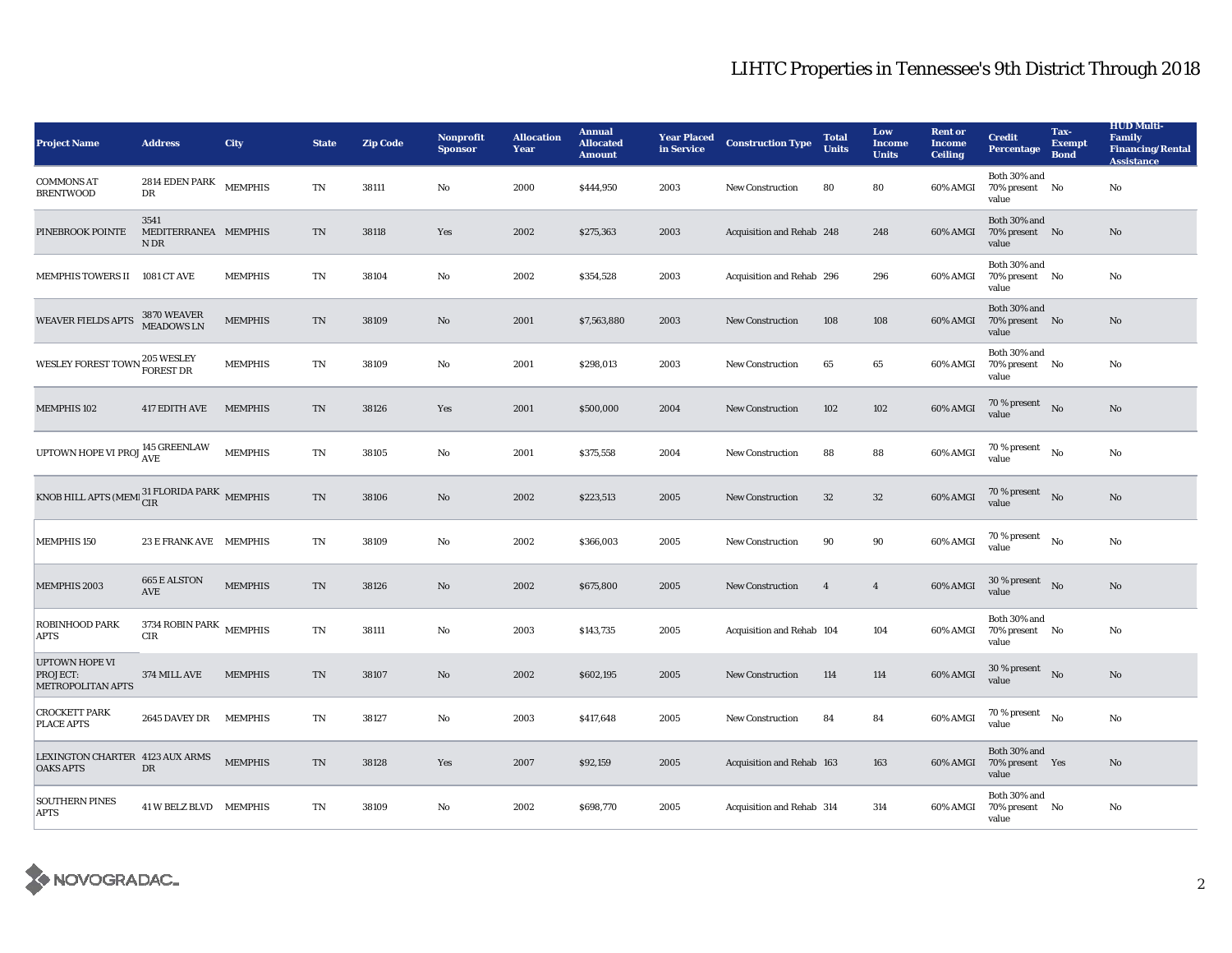| <b>Project Name</b>                                              | <b>Address</b>                              | <b>City</b>    | <b>State</b>               | <b>Zip Code</b> | Nonprofit<br><b>Sponsor</b> | <b>Allocation</b><br>Year | <b>Annual</b><br><b>Allocated</b><br><b>Amount</b> | <b>Year Placed</b><br>in Service | <b>Construction Type</b>  | <b>Total</b><br><b>Units</b> | Low<br><b>Income</b><br><b>Units</b> | <b>Rent or</b><br><b>Income</b><br><b>Ceiling</b> | <b>Credit</b><br><b>Percentage</b>         | Tax-<br><b>Exempt</b><br><b>Bond</b> | <b>HUD Multi-</b><br>Family<br><b>Financing/Rental</b><br><b>Assistance</b> |
|------------------------------------------------------------------|---------------------------------------------|----------------|----------------------------|-----------------|-----------------------------|---------------------------|----------------------------------------------------|----------------------------------|---------------------------|------------------------------|--------------------------------------|---------------------------------------------------|--------------------------------------------|--------------------------------------|-----------------------------------------------------------------------------|
| <b>COMMONS AT</b><br><b>BRENTWOOD</b>                            | $2814$ EDEN PARK<br>DR                      | <b>MEMPHIS</b> | $\rm TN$                   | 38111           | No                          | 2000                      | \$444,950                                          | 2003                             | <b>New Construction</b>   | 80                           | 80                                   | 60% AMGI                                          | Both 30% and<br>70% present No<br>value    |                                      | No                                                                          |
| PINEBROOK POINTE                                                 | 3541<br>MEDITERRANEA MEMPHIS<br>N DR        |                | TN                         | 38118           | Yes                         | 2002                      | \$275,363                                          | 2003                             | Acquisition and Rehab 248 |                              | 248                                  | 60% AMGI                                          | Both 30% and<br>70% present No<br>value    |                                      | No                                                                          |
| <b>MEMPHIS TOWERS II</b>                                         | 1081 CT AVE                                 | <b>MEMPHIS</b> | TN                         | 38104           | No                          | 2002                      | \$354,528                                          | 2003                             | Acquisition and Rehab 296 |                              | 296                                  | 60% AMGI                                          | Both 30% and<br>70% present No<br>value    |                                      | No                                                                          |
| <b>WEAVER FIELDS APTS</b>                                        | 3870 WEAVER<br>MEADOWS LN                   | <b>MEMPHIS</b> | TN                         | 38109           | No                          | 2001                      | \$7,563,880                                        | 2003                             | <b>New Construction</b>   | 108                          | 108                                  | 60% AMGI                                          | Both 30% and<br>70% present No<br>value    |                                      | No                                                                          |
| WESLEY FOREST TOWN <sup>205</sup> WESLEY                         |                                             | <b>MEMPHIS</b> | TN                         | 38109           | No                          | 2001                      | \$298,013                                          | 2003                             | <b>New Construction</b>   | 65                           | 65                                   | 60% AMGI                                          | Both 30% and<br>70% present No<br>value    |                                      | No                                                                          |
| <b>MEMPHIS 102</b>                                               | 417 EDITH AVE                               | <b>MEMPHIS</b> | TN                         | 38126           | Yes                         | 2001                      | \$500,000                                          | 2004                             | <b>New Construction</b>   | 102                          | 102                                  | 60% AMGI                                          | $70\,\%$ present $$$ No value              |                                      | No                                                                          |
| UPTOWN HOPE VI PROJ $^{145}_{\rm AVE}$ GREENLAW                  |                                             | <b>MEMPHIS</b> | $\mathbf{T}\mathbf{N}$     | 38105           | No                          | 2001                      | \$375,558                                          | 2004                             | <b>New Construction</b>   | 88                           | 88                                   | 60% AMGI                                          | 70 % present<br>value                      | No                                   | $\rm No$                                                                    |
| KNOB HILL APTS (MEMI $_{\rm CIR}^{31\rm\,FLORIDA\,PARK}$ MEMPHIS |                                             |                | $\mathop{\rm TN}\nolimits$ | 38106           | $\mathbf{No}$               | 2002                      | \$223,513                                          | 2005                             | New Construction          | $32\,$                       | $32\,$                               | 60% AMGI                                          | $70\%$ present No<br>value                 |                                      | $\rm No$                                                                    |
| <b>MEMPHIS 150</b>                                               | 23 E FRANK AVE MEMPHIS                      |                | TN                         | 38109           | $\rm No$                    | 2002                      | \$366,003                                          | 2005                             | New Construction          | 90                           | $90\,$                               | 60% AMGI                                          | $70$ % present $\quad$ No $\quad$<br>value |                                      | No                                                                          |
| <b>MEMPHIS 2003</b>                                              | <b>665 E ALSTON</b><br>$\operatorname{AVE}$ | <b>MEMPHIS</b> | TN                         | 38126           | $\rm No$                    | 2002                      | \$675,800                                          | 2005                             | <b>New Construction</b>   | $\overline{4}$               | $\overline{4}$                       | 60% AMGI                                          | $30\,\%$ present $$$ No $\,$<br>value      |                                      | No                                                                          |
| <b>ROBINHOOD PARK</b><br><b>APTS</b>                             | 3734 ROBIN PARK $$\sf MEMPHIS$$<br>CIR      |                | $\mathbf{T}\mathbf{N}$     | 38111           | No                          | 2003                      | \$143,735                                          | 2005                             | Acquisition and Rehab 104 |                              | 104                                  | 60% AMGI                                          | Both 30% and<br>70% present No<br>value    |                                      | No                                                                          |
| <b>UPTOWN HOPE VI</b><br>PROJECT:<br>METROPOLITAN APTS           | 374 MILL AVE                                | <b>MEMPHIS</b> | TN                         | 38107           | $\mathbf{No}$               | 2002                      | \$602,195                                          | 2005                             | <b>New Construction</b>   | 114                          | 114                                  | 60% AMGI                                          | $30\,\%$ present $$$ No $$$<br>value       |                                      | $\rm No$                                                                    |
| <b>CROCKETT PARK</b><br>PLACE APTS                               | 2645 DAVEY DR                               | <b>MEMPHIS</b> | TN                         | 38127           | No                          | 2003                      | \$417,648                                          | 2005                             | <b>New Construction</b>   | 84                           | 84                                   | 60% AMGI                                          | 70 % present $N_0$<br>value                |                                      | No                                                                          |
| LEXINGTON CHARTER 4123 AUX ARMS<br><b>OAKS APTS</b>              | DR                                          | <b>MEMPHIS</b> | TN                         | 38128           | Yes                         | 2007                      | \$92,159                                           | 2005                             | Acquisition and Rehab 163 |                              | 163                                  | 60% AMGI                                          | Both 30% and<br>70% present Yes<br>value   |                                      | No                                                                          |
| <b>SOUTHERN PINES</b><br><b>APTS</b>                             | 41 W BELZ BLVD MEMPHIS                      |                | TN                         | 38109           | No                          | 2002                      | \$698,770                                          | 2005                             | Acquisition and Rehab 314 |                              | 314                                  | 60% AMGI                                          | Both 30% and<br>70% present No<br>value    |                                      | No                                                                          |

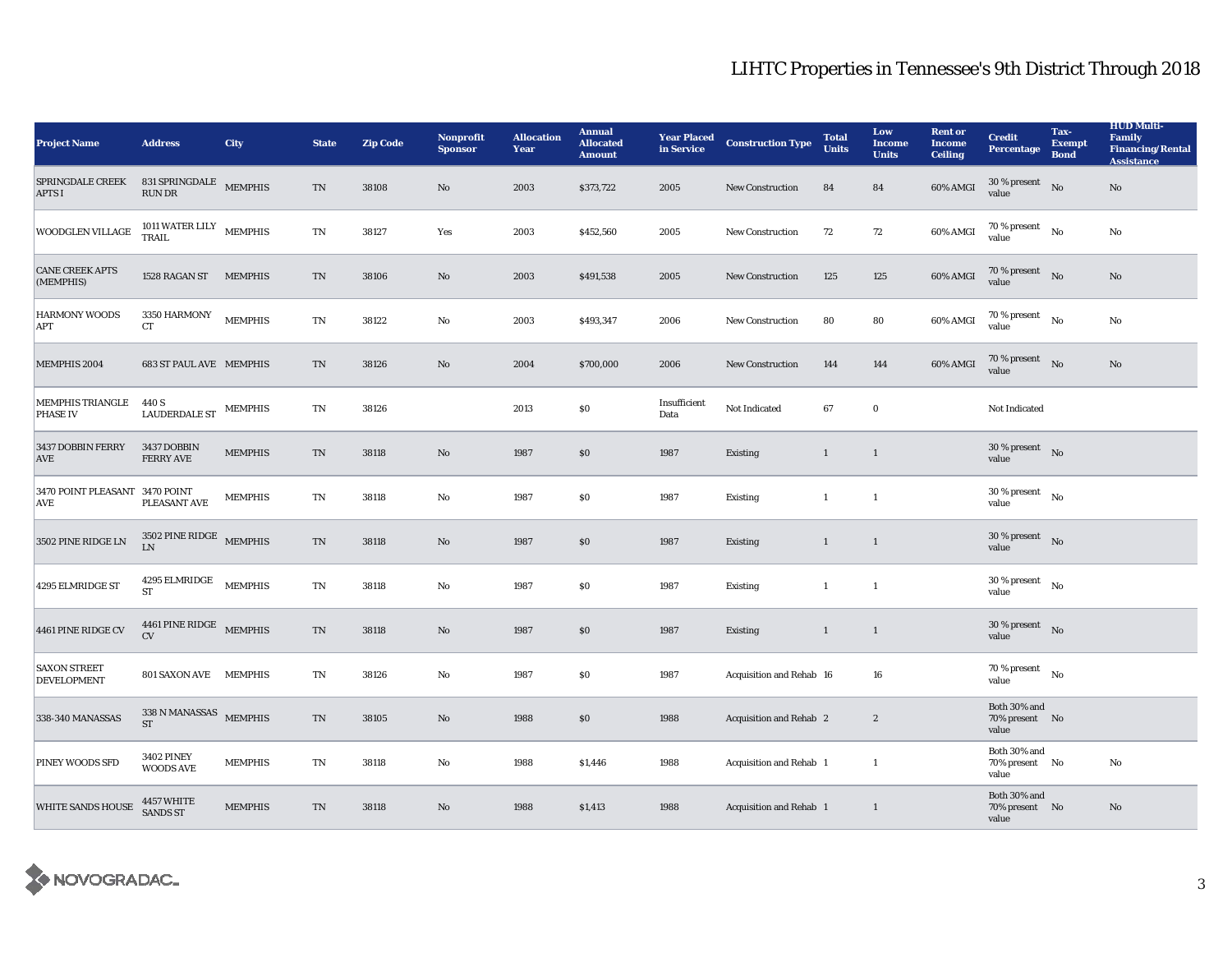| <b>Project Name</b>                          | <b>Address</b>                                           | City           | <b>State</b>               | <b>Zip Code</b> | <b>Nonprofit</b><br><b>Sponsor</b> | <b>Allocation</b><br>Year | <b>Annual</b><br><b>Allocated</b><br><b>Amount</b> | <b>Year Placed</b><br>in Service | <b>Construction Type</b> | <b>Total</b><br><b>Units</b> | Low<br><b>Income</b><br><b>Units</b> | <b>Rent or</b><br><b>Income</b><br><b>Ceiling</b> | <b>Credit</b><br><b>Percentage</b>         | Tax-<br><b>Exempt</b><br><b>Bond</b> | <b>HUD Multi-</b><br><b>Family</b><br><b>Financing/Rental</b><br><b>Assistance</b> |
|----------------------------------------------|----------------------------------------------------------|----------------|----------------------------|-----------------|------------------------------------|---------------------------|----------------------------------------------------|----------------------------------|--------------------------|------------------------------|--------------------------------------|---------------------------------------------------|--------------------------------------------|--------------------------------------|------------------------------------------------------------------------------------|
| <b>SPRINGDALE CREEK</b><br><b>APTS I</b>     | 831 SPRINGDALE MEMPHIS<br>$\mathop{\rm RUN}\nolimits$ DR |                | $\mathcal{T}\mathcal{N}$   | 38108           | No                                 | 2003                      | \$373,722                                          | 2005                             | New Construction         | 84                           | 84                                   | $60\%$ AMGI                                       | 30 % present<br>value                      | No                                   | No                                                                                 |
| WOODGLEN VILLAGE                             | 1011 WATER LILY MEMPHIS TRAIL                            |                | TN                         | 38127           | Yes                                | 2003                      | \$452,560                                          | 2005                             | <b>New Construction</b>  | 72                           | 72                                   | 60% AMGI                                          | 70 % present<br>value                      | No                                   | No                                                                                 |
| <b>CANE CREEK APTS</b><br>(MEMPHIS)          | 1528 RAGAN ST MEMPHIS                                    |                | $\mathcal{T}\mathcal{N}$   | 38106           | No                                 | 2003                      | \$491,538                                          | 2005                             | <b>New Construction</b>  | 125                          | 125                                  | 60% AMGI                                          | $70\,\%$ present $$\rm{No}$$ value         |                                      | No                                                                                 |
| <b>HARMONY WOODS</b><br>APT                  | $3350\,$ HARMONY<br>CT                                   | <b>MEMPHIS</b> | $\mathbf{T}\mathbf{N}$     | 38122           | No                                 | 2003                      | \$493,347                                          | 2006                             | New Construction         | 80                           | 80                                   | 60% AMGI                                          | $70$ % present $\quad$ No<br>value         |                                      | No                                                                                 |
| MEMPHIS 2004                                 | <b>683 ST PAUL AVE MEMPHIS</b>                           |                | $\mathcal{T}\mathcal{N}$   | 38126           | No                                 | 2004                      | \$700,000                                          | 2006                             | <b>New Construction</b>  | 144                          | 144                                  | 60% AMGI                                          | $70\,\%$ present $$$ No $\,$<br>value      |                                      | $\mathbf{No}$                                                                      |
| <b>MEMPHIS TRIANGLE</b><br><b>PHASE IV</b>   | 440 S<br>LAUDERDALE ST                                   | <b>MEMPHIS</b> | $\mathbf{T}\mathbf{N}$     | 38126           |                                    | 2013                      | \$0                                                | Insufficient<br>Data             | Not Indicated            | 67                           | $\bf{0}$                             |                                                   | Not Indicated                              |                                      |                                                                                    |
| 3437 DOBBIN FERRY<br><b>AVE</b>              | 3437 DOBBIN<br><b>FERRY AVE</b>                          | <b>MEMPHIS</b> | TN                         | 38118           | No                                 | 1987                      | \$0                                                | 1987                             | <b>Existing</b>          | $\mathbf{1}$                 | $\mathbf{1}$                         |                                                   | $30\,\%$ present $$$ No $\,$<br>value      |                                      |                                                                                    |
| 3470 POINT PLEASANT 3470 POINT<br><b>AVE</b> | PLEASANT AVE                                             | <b>MEMPHIS</b> | TN                         | 38118           | No                                 | 1987                      | \$0                                                | 1987                             | <b>Existing</b>          | $\mathbf{1}$                 | -1                                   |                                                   | 30 % present<br>value                      | No                                   |                                                                                    |
| 3502 PINE RIDGE LN                           | 3502 PINE RIDGE MEMPHIS<br>I.N                           |                | $\mathcal{T}\mathcal{N}$   | 38118           | No                                 | 1987                      | \$0                                                | 1987                             | <b>Existing</b>          | $\mathbf{1}$                 | $\mathbf{1}$                         |                                                   | $30\,\%$ present $$$ No $$$<br>value       |                                      |                                                                                    |
| 4295 ELMRIDGE ST                             | 4295 ELMRIDGE MEMPHIS<br>ST                              |                | TN                         | 38118           | No                                 | 1987                      | \$0                                                | 1987                             | Existing                 | $\mathbf{1}$                 | -1                                   |                                                   | $30\,\%$ present $$$ No $$$<br>value       |                                      |                                                                                    |
| 4461 PINE RIDGE CV                           | 4461 PINE RIDGE MEMPHIS<br>CV                            |                | $\mathop{\rm TN}\nolimits$ | 38118           | No                                 | 1987                      | \$0                                                | 1987                             | Existing                 | $\mathbf{1}$                 | $\mathbf{1}$                         |                                                   | $30\%$ present No<br>value                 |                                      |                                                                                    |
| <b>SAXON STREET</b><br><b>DEVELOPMENT</b>    | 801 SAXON AVE MEMPHIS                                    |                | TN                         | 38126           | No                                 | 1987                      | $\$0$                                              | 1987                             | Acquisition and Rehab 16 |                              | 16                                   |                                                   | 70 % present<br>value                      | $\mathbf{N}\mathbf{o}$               |                                                                                    |
| 338-340 MANASSAS                             | 338 N MANASSAS MEMPHIS<br><b>ST</b>                      |                | TN                         | 38105           | No                                 | 1988                      | \$0                                                | 1988                             | Acquisition and Rehab 2  |                              | $\boldsymbol{2}$                     |                                                   | Both 30% and<br>70% present No<br>value    |                                      |                                                                                    |
| PINEY WOODS SFD                              | <b>3402 PINEY</b><br><b>WOODS AVE</b>                    | <b>MEMPHIS</b> | $\mathbf{T}\mathbf{N}$     | 38118           | $\rm No$                           | 1988                      | \$1,446                                            | 1988                             | Acquisition and Rehab 1  |                              | $\mathbf{1}$                         |                                                   | Both $30\%$ and<br>70% present No<br>value |                                      | No                                                                                 |
| <b>WHITE SANDS HOUSE</b>                     | 4457 WHITE<br>SANDS ST                                   | <b>MEMPHIS</b> | TN                         | 38118           | No                                 | 1988                      | \$1,413                                            | 1988                             | Acquisition and Rehab 1  |                              | $\mathbf{1}$                         |                                                   | Both 30% and<br>70% present No<br>value    |                                      | No                                                                                 |

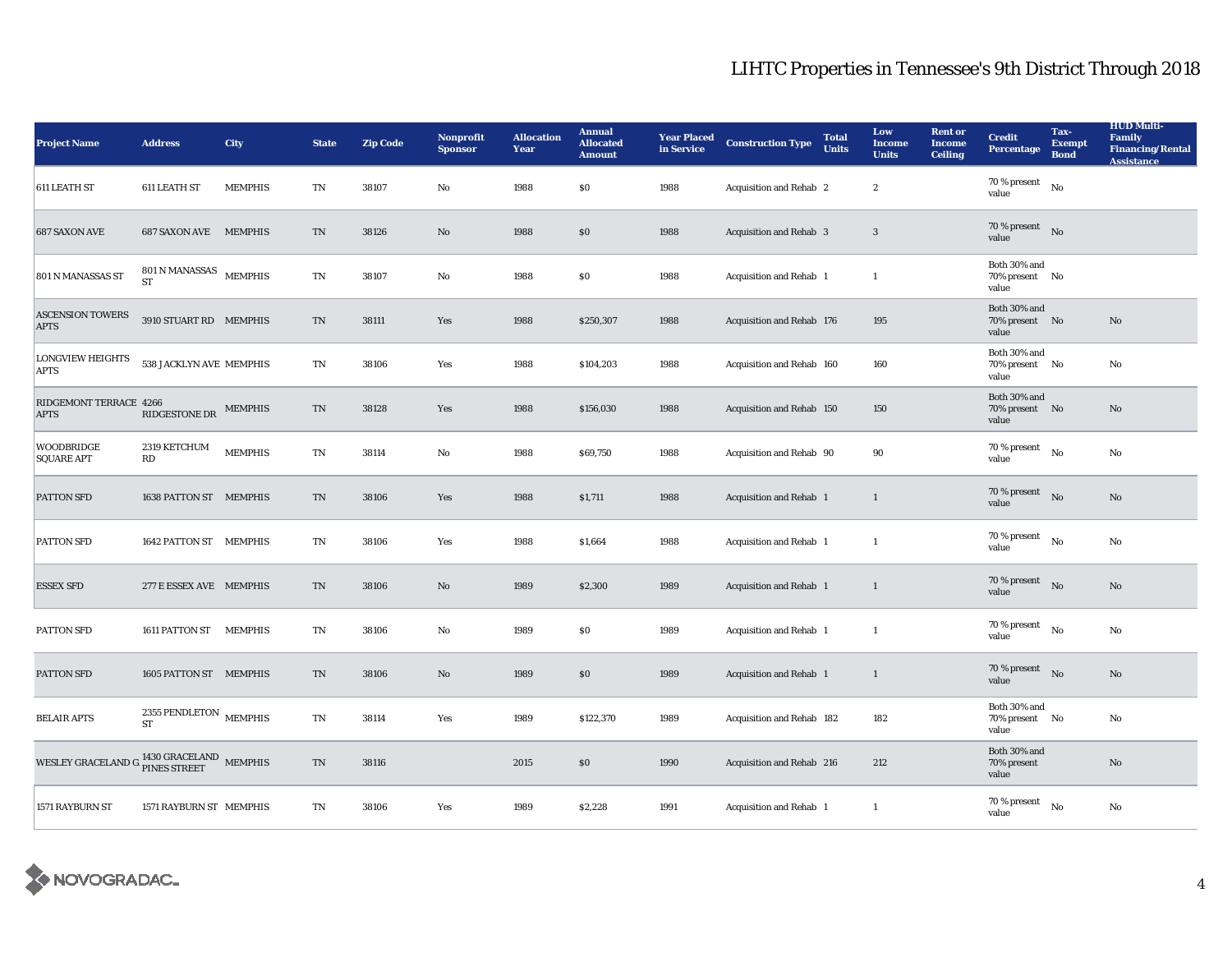| <b>Project Name</b>                    | <b>Address</b>                              | <b>City</b>    | <b>State</b>               | <b>Zip Code</b> | Nonprofit<br><b>Sponsor</b> | <b>Allocation</b><br>Year | <b>Annual</b><br><b>Allocated</b><br><b>Amount</b> | <b>Year Placed</b><br>in Service | <b>Construction Type</b>  | <b>Total</b><br><b>Units</b> | Low<br>Income<br><b>Units</b> | <b>Rent or</b><br><b>Income</b><br><b>Ceiling</b> | <b>Credit</b><br><b>Percentage</b>      | Tax-<br><b>Exempt</b><br><b>Bond</b> | <b>HUD Multi-</b><br><b>Family</b><br><b>Financing/Rental</b><br>Assistance |
|----------------------------------------|---------------------------------------------|----------------|----------------------------|-----------------|-----------------------------|---------------------------|----------------------------------------------------|----------------------------------|---------------------------|------------------------------|-------------------------------|---------------------------------------------------|-----------------------------------------|--------------------------------------|-----------------------------------------------------------------------------|
| 611 LEATH ST                           | 611 LEATH ST                                | <b>MEMPHIS</b> | TN                         | 38107           | $\rm No$                    | 1988                      | $\$0$                                              | 1988                             | Acquisition and Rehab 2   |                              | $\boldsymbol{2}$              |                                                   | $70\,\%$ present<br>value               | $_{\rm No}$                          |                                                                             |
| <b>687 SAXON AVE</b>                   | <b>687 SAXON AVE</b>                        | <b>MEMPHIS</b> | TN                         | 38126           | No                          | 1988                      | S <sub>0</sub>                                     | 1988                             | Acquisition and Rehab 3   |                              | $\sqrt{3}$                    |                                                   | 70 % present<br>value                   | No                                   |                                                                             |
| 801 N MANASSAS ST                      | 801 N MANASSAS<br><b>ST</b>                 | <b>MEMPHIS</b> | TN                         | 38107           | No                          | 1988                      | S <sub>0</sub>                                     | 1988                             | Acquisition and Rehab 1   |                              | 1                             |                                                   | Both 30% and<br>70% present No<br>value |                                      |                                                                             |
| <b>ASCENSION TOWERS</b><br><b>APTS</b> | 3910 STUART RD MEMPHIS                      |                | $\mathop{\rm TN}\nolimits$ | 38111           | Yes                         | 1988                      | \$250,307                                          | 1988                             | Acquisition and Rehab 176 |                              | 195                           |                                                   | Both 30% and<br>70% present No<br>value |                                      | No                                                                          |
| <b>LONGVIEW HEIGHTS</b><br><b>APTS</b> | 538 JACKLYN AVE MEMPHIS                     |                | ${\rm TN}$                 | 38106           | Yes                         | 1988                      | \$104,203                                          | 1988                             | Acquisition and Rehab 160 |                              | 160                           |                                                   | Both 30% and<br>70% present No<br>value |                                      | No                                                                          |
| RIDGEMONT TERRACE 4266<br><b>APTS</b>  | RIDGESTONE DR                               | <b>MEMPHIS</b> | TN                         | 38128           | Yes                         | 1988                      | \$156,030                                          | 1988                             | Acquisition and Rehab 150 |                              | 150                           |                                                   | Both 30% and<br>70% present No<br>value |                                      | No                                                                          |
| <b>WOODBRIDGE</b><br><b>SQUARE APT</b> | 2319 KETCHUM<br>RD                          | <b>MEMPHIS</b> | TN                         | 38114           | No                          | 1988                      | \$69,750                                           | 1988                             | Acquisition and Rehab 90  |                              | 90                            |                                                   | $70\,\%$ present $$N\rm o$$<br>value    |                                      | No                                                                          |
| PATTON SFD                             | 1638 PATTON ST MEMPHIS                      |                | $\rm TN$                   | 38106           | Yes                         | 1988                      | \$1,711                                            | 1988                             | Acquisition and Rehab 1   |                              | 1                             |                                                   | 70 % present<br>value                   | No                                   | No                                                                          |
| PATTON SFD                             | 1642 PATTON ST MEMPHIS                      |                | TN                         | 38106           | Yes                         | 1988                      | \$1,664                                            | 1988                             | Acquisition and Rehab 1   |                              | $\mathbf{1}$                  |                                                   | 70 % present<br>value                   | $\rm No$                             | $\mathbf{N}\mathbf{o}$                                                      |
| <b>ESSEX SFD</b>                       | 277 E ESSEX AVE MEMPHIS                     |                | TN                         | 38106           | No                          | 1989                      | \$2,300                                            | 1989                             | Acquisition and Rehab 1   |                              | 1                             |                                                   | $70\%$ present No<br>value              |                                      | No                                                                          |
| PATTON SFD                             | 1611 PATTON ST                              | MEMPHIS        | TN                         | 38106           | No                          | 1989                      | \$0\$                                              | 1989                             | Acquisition and Rehab 1   |                              | -1                            |                                                   | 70 % present<br>value                   | No                                   | No                                                                          |
| PATTON SFD                             | 1605 PATTON ST MEMPHIS                      |                | TN                         | 38106           | No                          | 1989                      | \$0\$                                              | 1989                             | Acquisition and Rehab 1   |                              | $\mathbf{1}$                  |                                                   | 70 % present<br>value                   | $\rm No$                             | No                                                                          |
| <b>BELAIR APTS</b>                     | 2355 PENDLETON $$\tt MEMPHIS$$<br><b>ST</b> |                | TN                         | 38114           | Yes                         | 1989                      | \$122,370                                          | 1989                             | Acquisition and Rehab 182 |                              | 182                           |                                                   | Both 30% and<br>70% present No<br>value |                                      | No                                                                          |
| WESLEY GRACELAND G                     | $1430$ GRACELAND $\,$ MEMPHIS PINES STREET  |                | TN                         | 38116           |                             | 2015                      | S <sub>0</sub>                                     | 1990                             | Acquisition and Rehab 216 |                              | 212                           |                                                   | Both 30% and<br>70% present<br>value    |                                      | No                                                                          |
| 1571 RAYBURN ST                        | 1571 RAYBURN ST MEMPHIS                     |                | $\rm TN$                   | 38106           | Yes                         | 1989                      | \$2,228                                            | 1991                             | Acquisition and Rehab 1   |                              | $\mathbf{1}$                  |                                                   | 70 % present<br>value                   | No                                   | No                                                                          |

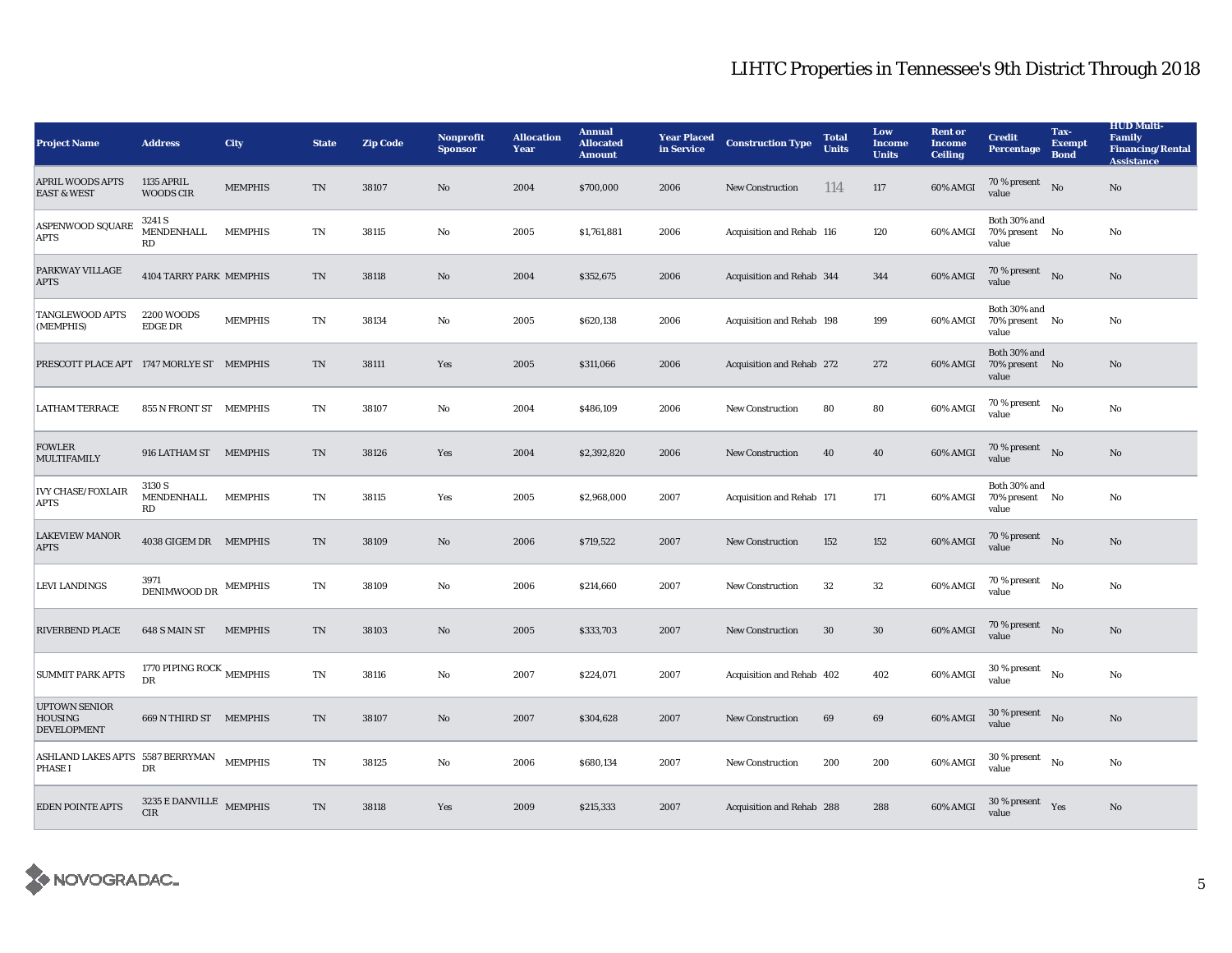| <b>Project Name</b>                                          | <b>Address</b>                          | <b>City</b>    | <b>State</b>             | <b>Zip Code</b> | Nonprofit<br><b>Sponsor</b> | <b>Allocation</b><br>Year | <b>Annual</b><br><b>Allocated</b><br><b>Amount</b> | <b>Year Placed</b><br>in Service | <b>Construction Type</b>  | <b>Total</b><br><b>Units</b> | Low<br><b>Income</b><br><b>Units</b> | <b>Rent or</b><br><b>Income</b><br><b>Ceiling</b> | <b>Credit</b><br>Percentage             | Tax-<br><b>Exempt</b><br><b>Bond</b> | <b>HUD Multi-</b><br>Family<br><b>Financing/Rental</b><br><b>Assistance</b> |
|--------------------------------------------------------------|-----------------------------------------|----------------|--------------------------|-----------------|-----------------------------|---------------------------|----------------------------------------------------|----------------------------------|---------------------------|------------------------------|--------------------------------------|---------------------------------------------------|-----------------------------------------|--------------------------------------|-----------------------------------------------------------------------------|
| <b>APRIL WOODS APTS</b><br><b>EAST &amp; WEST</b>            | <b>1135 APRIL</b><br><b>WOODS CIR</b>   | <b>MEMPHIS</b> | TN                       | 38107           | No                          | 2004                      | \$700,000                                          | 2006                             | <b>New Construction</b>   | 114                          | 117                                  | 60% AMGI                                          | 70 % present<br>value                   | N <sub>0</sub>                       | No                                                                          |
| <b>ASPENWOOD SQUARE</b><br><b>APTS</b>                       | 3241 S<br>MENDENHALL<br>RD              | <b>MEMPHIS</b> | TN                       | 38115           | No                          | 2005                      | \$1,761,881                                        | 2006                             | Acquisition and Rehab 116 |                              | 120                                  | 60% AMGI                                          | Both 30% and<br>70% present No<br>value |                                      | No                                                                          |
| PARKWAY VILLAGE<br><b>APTS</b>                               | 4104 TARRY PARK MEMPHIS                 |                | TN                       | 38118           | No                          | 2004                      | \$352,675                                          | 2006                             | Acquisition and Rehab 344 |                              | 344                                  | 60% AMGI                                          | 70 % present $\qquad N$ o<br>value      |                                      | No                                                                          |
| TANGLEWOOD APTS<br>(MEMPHIS)                                 | <b>2200 WOODS</b><br><b>EDGE DR</b>     | <b>MEMPHIS</b> | TN                       | 38134           | No                          | 2005                      | \$620,138                                          | 2006                             | Acquisition and Rehab 198 |                              | 199                                  | 60% AMGI                                          | Both 30% and<br>70% present No<br>value |                                      | No                                                                          |
| PRESCOTT PLACE APT 1747 MORLYE ST MEMPHIS                    |                                         |                | $\rm TN$                 | 38111           | Yes                         | 2005                      | \$311,066                                          | 2006                             | Acquisition and Rehab 272 |                              | 272                                  | 60% AMGI                                          | Both 30% and<br>70% present No<br>value |                                      | No                                                                          |
| <b>LATHAM TERRACE</b>                                        | 855 N FRONT ST MEMPHIS                  |                | TN                       | 38107           | No                          | 2004                      | \$486,109                                          | 2006                             | <b>New Construction</b>   | 80                           | 80                                   | 60% AMGI                                          | 70 % present<br>value                   | No                                   | No                                                                          |
| <b>FOWLER</b><br><b>MULTIFAMILY</b>                          | 916 LATHAM ST MEMPHIS                   |                | TN                       | 38126           | Yes                         | 2004                      | \$2,392,820                                        | 2006                             | <b>New Construction</b>   | 40                           | 40                                   | 60% AMGI                                          | 70 % present No<br>value                |                                      | No                                                                          |
| <b>IVY CHASE/FOXLAIR</b><br><b>APTS</b>                      | 3130 S<br>MENDENHALL<br>RD              | <b>MEMPHIS</b> | TN                       | 38115           | Yes                         | 2005                      | \$2,968,000                                        | 2007                             | Acquisition and Rehab 171 |                              | 171                                  | 60% AMGI                                          | Both 30% and<br>70% present No<br>value |                                      | No                                                                          |
| <b>LAKEVIEW MANOR</b><br><b>APTS</b>                         | 4038 GIGEM DR MEMPHIS                   |                | TN                       | 38109           | No                          | 2006                      | \$719,522                                          | 2007                             | <b>New Construction</b>   | 152                          | 152                                  | 60% AMGI                                          | 70 % present $\hbox{No}$<br>value       |                                      | No                                                                          |
| <b>LEVI LANDINGS</b>                                         | 3971<br>DENIMWOOD DR                    | <b>MEMPHIS</b> | TN                       | 38109           | No                          | 2006                      | \$214,660                                          | 2007                             | <b>New Construction</b>   | 32                           | $32\,$                               | 60% AMGI                                          | 70 % present<br>value                   | No                                   | No                                                                          |
| RIVERBEND PLACE                                              | 648 S MAIN ST                           | <b>MEMPHIS</b> | $\mathcal{T}\mathcal{N}$ | 38103           | $\mathbf{N}\mathbf{o}$      | 2005                      | \$333,703                                          | 2007                             | New Construction          | 30                           | ${\bf 30}$                           | 60% AMGI                                          | 70 % present $\hbox{No}$<br>value       |                                      | No                                                                          |
| <b>SUMMIT PARK APTS</b>                                      | 1770 PIPING ROCK $_{\rm MEMPHIS}$<br>DR |                | $\mathbf{T}\mathbf{N}$   | 38116           | No                          | 2007                      | \$224,071                                          | 2007                             | Acquisition and Rehab 402 |                              | 402                                  | 60% AMGI                                          | $30$ % present $$\rm{No}$$<br>value     |                                      | No                                                                          |
| <b>UPTOWN SENIOR</b><br><b>HOUSING</b><br><b>DEVELOPMENT</b> | 669 N THIRD ST MEMPHIS                  |                | TN                       | 38107           | No                          | 2007                      | \$304,628                                          | 2007                             | <b>New Construction</b>   | 69                           | 69                                   | 60% AMGI                                          | $30\,\%$ present $$$ No value           |                                      | No                                                                          |
| ASHLAND LAKES APTS 5587 BERRYMAN<br><b>PHASE I</b>           | DR                                      | <b>MEMPHIS</b> | TN                       | 38125           | No                          | 2006                      | \$680,134                                          | 2007                             | <b>New Construction</b>   | 200                          | 200                                  | 60% AMGI                                          | $30\,\%$ present $$$ No $$$<br>value    |                                      | No                                                                          |
| <b>EDEN POINTE APTS</b>                                      | 3235 E DANVILLE MEMPHIS<br><b>CIR</b>   |                | $\mathcal{T}\mathcal{N}$ | 38118           | Yes                         | 2009                      | \$215,333                                          | 2007                             | Acquisition and Rehab 288 |                              | 288                                  | 60% AMGI                                          | $30\,\%$ present $\quad$ Yes<br>value   |                                      | No                                                                          |

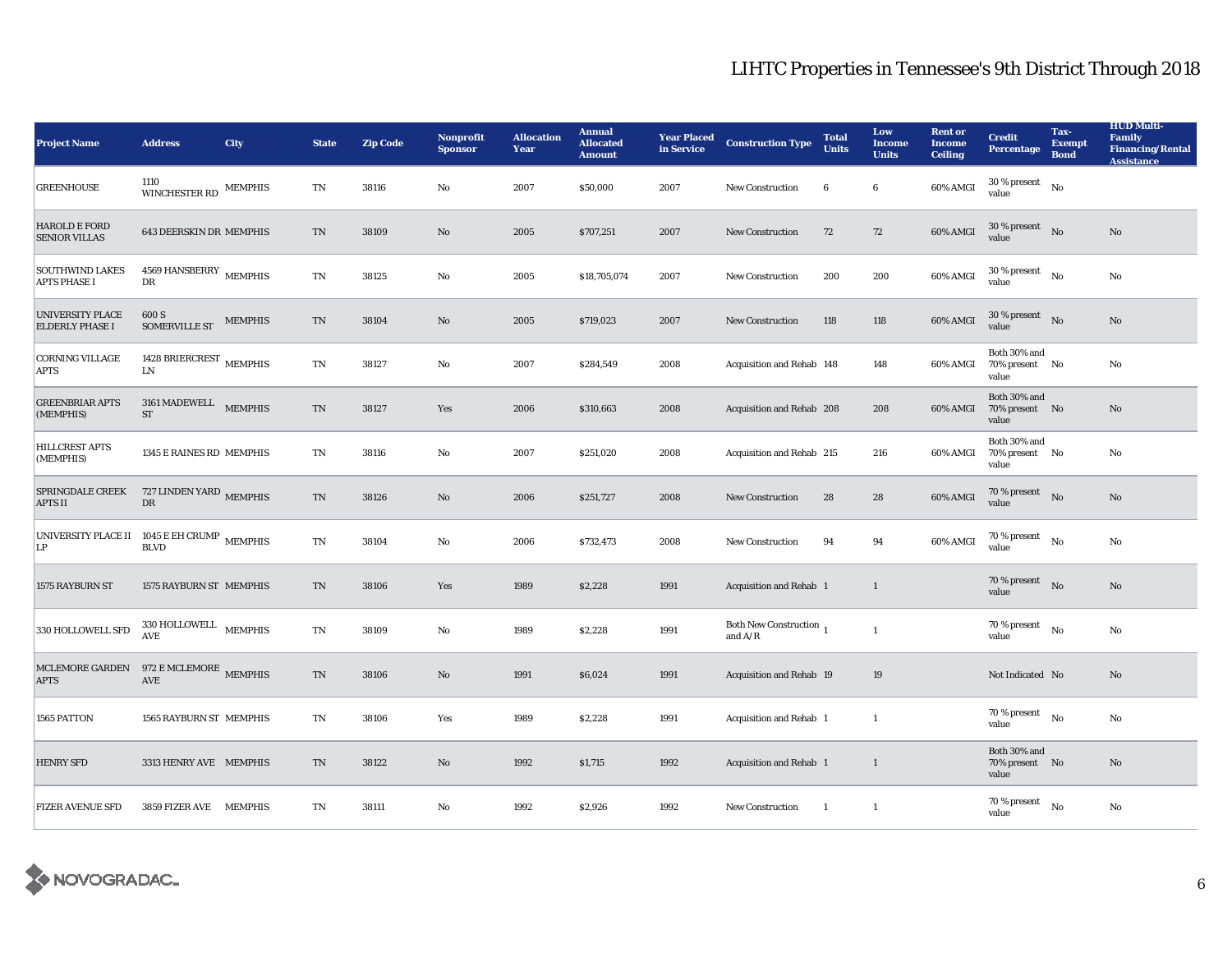| <b>Project Name</b>                                   | <b>Address</b>                                    | <b>City</b>    | <b>State</b>           | <b>Zip Code</b> | Nonprofit<br><b>Sponsor</b> | <b>Allocation</b><br>Year | <b>Annual</b><br><b>Allocated</b><br><b>Amount</b> | <b>Year Placed</b><br>in Service | <b>Construction Type</b>             | <b>Total</b><br><b>Units</b> | Low<br><b>Income</b><br><b>Units</b> | <b>Rent or</b><br><b>Income</b><br><b>Ceiling</b> | <b>Credit</b><br><b>Percentage</b>          | Tax-<br><b>Exempt</b><br><b>Bond</b> | <b>HUD Multi-</b><br><b>Family</b><br><b>Financing/Rental</b><br><b>Assistance</b> |
|-------------------------------------------------------|---------------------------------------------------|----------------|------------------------|-----------------|-----------------------------|---------------------------|----------------------------------------------------|----------------------------------|--------------------------------------|------------------------------|--------------------------------------|---------------------------------------------------|---------------------------------------------|--------------------------------------|------------------------------------------------------------------------------------|
| <b>GREENHOUSE</b>                                     | 1110<br>WINCHESTER RD                             | <b>MEMPHIS</b> | TN                     | 38116           | No                          | 2007                      | \$50,000                                           | 2007                             | New Construction                     | 6                            | 6                                    | 60% AMGI                                          | $30\,\%$ present $$N\rm o$$<br>value        |                                      |                                                                                    |
| <b>HAROLD E FORD</b><br><b>SENIOR VILLAS</b>          | <b>643 DEERSKIN DR MEMPHIS</b>                    |                | TN                     | 38109           | No                          | 2005                      | \$707,251                                          | 2007                             | <b>New Construction</b>              | 72                           | 72                                   | 60% AMGI                                          | $30\,\%$ present $$$ No $\,$<br>value       |                                      | No                                                                                 |
| <b>SOUTHWIND LAKES</b><br><b>APTS PHASE I</b>         | $4569\,$ HANSBERRY $$\rm{MEMPHIS}$$<br>DR         |                | $\mathbf{T}\mathbf{N}$ | 38125           | No                          | 2005                      | \$18,705,074                                       | 2007                             | <b>New Construction</b>              | 200                          | 200                                  | 60% AMGI                                          | $30\,\%$ present $$N\rm o$$<br>value        |                                      | No                                                                                 |
| <b>UNIVERSITY PLACE</b><br><b>ELDERLY PHASE I</b>     | 600 S<br><b>SOMERVILLE ST</b>                     | <b>MEMPHIS</b> | TN                     | 38104           | No                          | 2005                      | \$719,023                                          | 2007                             | <b>New Construction</b>              | 118                          | 118                                  | 60% AMGI                                          | $30\,\%$ present $\;$ No $\;$<br>value      |                                      | No                                                                                 |
| <b>CORNING VILLAGE</b><br><b>APTS</b>                 | 1428 BRIERCREST $\,$ MEMPHIS<br><b>LN</b>         |                | TN                     | 38127           | No                          | 2007                      | \$284,549                                          | 2008                             | Acquisition and Rehab 148            |                              | 148                                  | 60% AMGI                                          | Both 30% and<br>70% present No<br>value     |                                      | No                                                                                 |
| <b>GREENBRIAR APTS</b><br>(MEMPHIS)                   | 3161 MADEWELL MEMPHIS<br><b>ST</b>                |                | $\mathbf{T}\mathbf{N}$ | 38127           | Yes                         | 2006                      | \$310,663                                          | 2008                             | Acquisition and Rehab 208            |                              | 208                                  | 60% AMGI                                          | Both 30% and<br>70% present No<br>value     |                                      | No                                                                                 |
| <b>HILLCREST APTS</b><br>(MEMPHIS)                    | 1345 E RAINES RD MEMPHIS                          |                | TN                     | 38116           | No                          | 2007                      | \$251,020                                          | 2008                             | Acquisition and Rehab 215            |                              | 216                                  | 60% AMGI                                          | Both 30% and<br>70% present No<br>value     |                                      | No                                                                                 |
| <b>SPRINGDALE CREEK</b><br><b>APTS II</b>             | 727 LINDEN YARD MEMPHIS<br>$\mathbf{D}\mathbf{R}$ |                | $\mathbf{T}\mathbf{N}$ | 38126           | $\mathbf{N}\mathbf{o}$      | 2006                      | \$251,727                                          | 2008                             | <b>New Construction</b>              | 28                           | 28                                   | 60% AMGI                                          | 70 % present $\hbox{No}$<br>value           |                                      | No                                                                                 |
| UNIVERSITY PLACE II 1045 E EH CRUMP MEMPHIS<br>LP     | <b>BLVD</b>                                       |                | TN                     | 38104           | No                          | 2006                      | \$732,473                                          | 2008                             | <b>New Construction</b>              | 94                           | 94                                   | 60% AMGI                                          | 70 % present $$\rm{No}$$<br>value           |                                      | No                                                                                 |
| 1575 RAYBURN ST                                       | 1575 RAYBURN ST MEMPHIS                           |                | TN                     | 38106           | Yes                         | 1989                      | \$2,228                                            | 1991                             | Acquisition and Rehab 1              |                              | 1                                    |                                                   | $70\%$ present No<br>value                  |                                      | No                                                                                 |
| 330 HOLLOWELL SFD                                     | $330\text{ HOLLOWELL}$ MEMPHIS<br>AVE             |                | $\rm TN$               | 38109           | No                          | 1989                      | \$2,228                                            | 1991                             | Both New Construction 1<br>and $A/R$ |                              | $\mathbf{1}$                         |                                                   | 70 % present $\qquad N$ o<br>value          |                                      | $\mathbf{N}\mathbf{o}$                                                             |
| MCLEMORE GARDEN 972 E MCLEMORE MEMPHIS<br><b>APTS</b> | AVE                                               |                | TN                     | 38106           | No                          | 1991                      | \$6,024                                            | 1991                             | Acquisition and Rehab 19             |                              | 19                                   |                                                   | Not Indicated No                            |                                      | No                                                                                 |
| 1565 PATTON                                           | 1565 RAYBURN ST MEMPHIS                           |                | TN                     | 38106           | Yes                         | 1989                      | \$2,228                                            | 1991                             | Acquisition and Rehab 1              |                              | 1                                    |                                                   | $70$ % present $\quad$ $_{\rm No}$<br>value |                                      | No                                                                                 |
| <b>HENRY SFD</b>                                      | 3313 HENRY AVE MEMPHIS                            |                | $\mathbf{T}\mathbf{N}$ | 38122           | No                          | 1992                      | \$1,715                                            | 1992                             | Acquisition and Rehab 1              |                              | 1                                    |                                                   | Both 30% and<br>70% present No<br>value     |                                      | No                                                                                 |
| <b>FIZER AVENUE SFD</b>                               | 3859 FIZER AVE MEMPHIS                            |                | TN                     | 38111           | No                          | 1992                      | \$2,926                                            | 1992                             | New Construction                     | $\overline{1}$               | -1                                   |                                                   | 70 % present<br>value                       | No                                   | No                                                                                 |

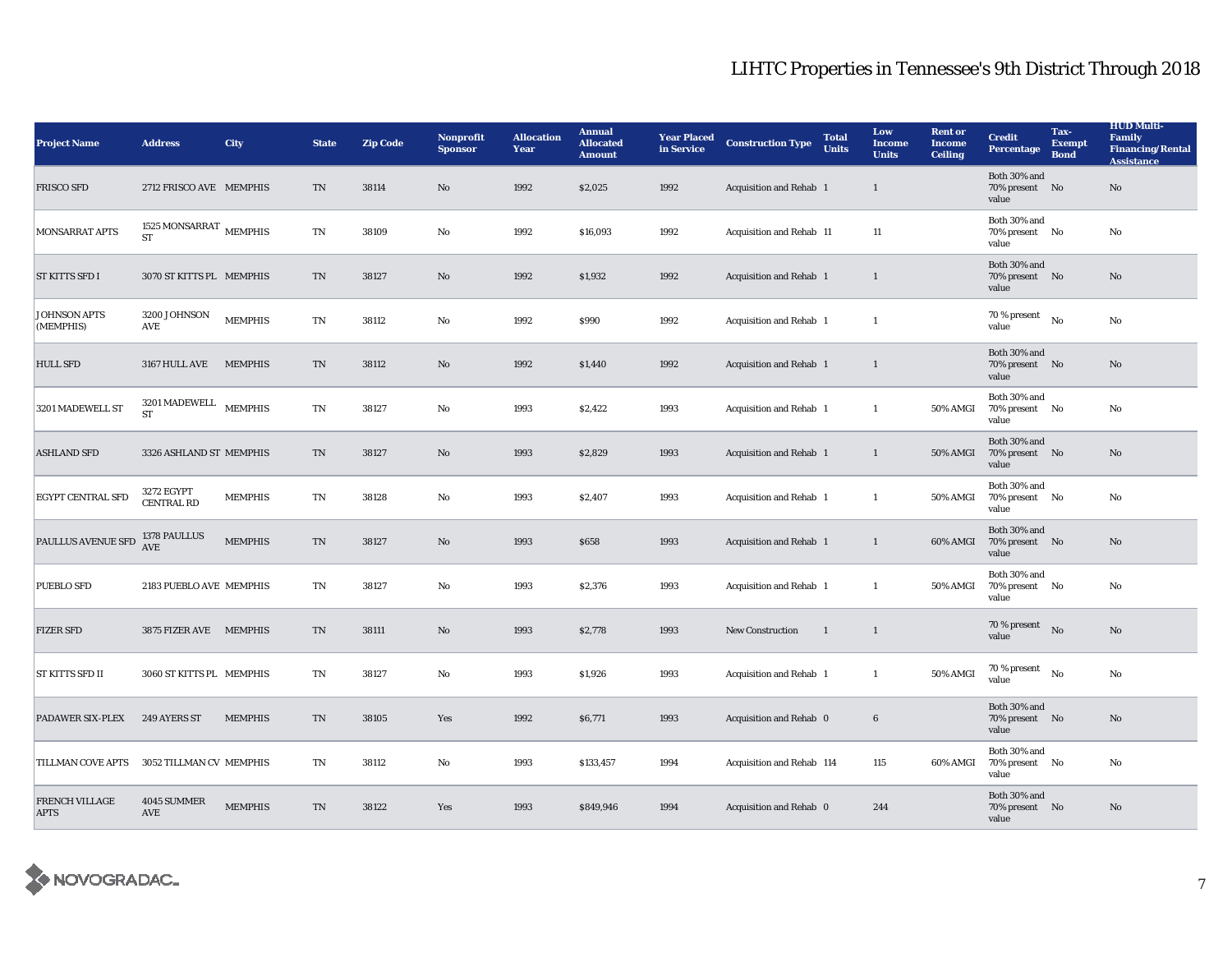| <b>Project Name</b>                  | <b>Address</b>                           | <b>City</b>    | <b>State</b>           | <b>Zip Code</b> | <b>Nonprofit</b><br><b>Sponsor</b> | <b>Allocation</b><br>Year | <b>Annual</b><br><b>Allocated</b><br><b>Amount</b> | <b>Year Placed</b><br>in Service | <b>Construction Type</b>       | <b>Total</b><br><b>Units</b> | Low<br><b>Income</b><br><b>Units</b> | <b>Rent or</b><br>Income<br><b>Ceiling</b> | <b>Credit</b><br><b>Percentage</b>      | Tax-<br><b>Exempt</b><br><b>Bond</b> | <b>HUD Multi-</b><br>Family<br><b>Financing/Rental</b><br><b>Assistance</b> |
|--------------------------------------|------------------------------------------|----------------|------------------------|-----------------|------------------------------------|---------------------------|----------------------------------------------------|----------------------------------|--------------------------------|------------------------------|--------------------------------------|--------------------------------------------|-----------------------------------------|--------------------------------------|-----------------------------------------------------------------------------|
| <b>FRISCO SFD</b>                    | 2712 FRISCO AVE MEMPHIS                  |                | TN                     | 38114           | No                                 | 1992                      | \$2,025                                            | 1992                             | Acquisition and Rehab 1        |                              | $\mathbf{1}$                         |                                            | Both 30% and<br>70% present No<br>value |                                      | $\rm No$                                                                    |
| MONSARRAT APTS                       | 1525 MONSARRAT $\,$ MEMPHIS<br><b>ST</b> |                | TN                     | 38109           | No                                 | 1992                      | \$16,093                                           | 1992                             | Acquisition and Rehab 11       |                              | 11                                   |                                            | Both 30% and<br>70% present No<br>value |                                      | No                                                                          |
| <b>ST KITTS SFD I</b>                | 3070 ST KITTS PL MEMPHIS                 |                | TN                     | 38127           | No                                 | 1992                      | \$1,932                                            | 1992                             | <b>Acquisition and Rehab 1</b> |                              | 1                                    |                                            | Both 30% and<br>70% present No<br>value |                                      | No                                                                          |
| <b>JOHNSON APTS</b><br>(MEMPHIS)     | 3200 JOHNSON<br>AVE                      | <b>MEMPHIS</b> | $\mathbf{T}\mathbf{N}$ | 38112           | No                                 | 1992                      | \$990                                              | 1992                             | Acquisition and Rehab 1        |                              | $\mathbf{1}$                         |                                            | 70 % present<br>value                   | No                                   | No                                                                          |
| <b>HULL SFD</b>                      | 3167 HULL AVE                            | <b>MEMPHIS</b> | TN                     | 38112           | $\mathbf{N}\mathbf{o}$             | 1992                      | \$1,440                                            | 1992                             | Acquisition and Rehab 1        |                              | 1                                    |                                            | Both 30% and<br>70% present No<br>value |                                      | No                                                                          |
| 3201 MADEWELL ST                     | 3201 MADEWELL<br><b>ST</b>               | <b>MEMPHIS</b> | TN                     | 38127           | No                                 | 1993                      | \$2,422                                            | 1993                             | Acquisition and Rehab 1        |                              | $\mathbf{1}$                         | 50% AMGI                                   | Both 30% and<br>70% present No<br>value |                                      | No                                                                          |
| <b>ASHLAND SFD</b>                   | 3326 ASHLAND ST MEMPHIS                  |                | TN                     | 38127           | $\mathbf{N}\mathbf{o}$             | 1993                      | \$2,829                                            | 1993                             | Acquisition and Rehab 1        |                              | $\mathbf{1}$                         | 50% AMGI                                   | Both 30% and<br>70% present No<br>value |                                      | No                                                                          |
| <b>EGYPT CENTRAL SFD</b>             | 3272 EGYPT<br><b>CENTRAL RD</b>          | <b>MEMPHIS</b> | TN                     | 38128           | No                                 | 1993                      | \$2,407                                            | 1993                             | Acquisition and Rehab 1        |                              | 1                                    | <b>50% AMGI</b>                            | Both 30% and<br>70% present No<br>value |                                      | No                                                                          |
| PAULLUS AVENUE SFD                   | 1378 PAULLUS<br><b>AVE</b>               | <b>MEMPHIS</b> | $\mathbf{T}\mathbf{N}$ | 38127           | $\mathbf{N}\mathbf{o}$             | 1993                      | \$658                                              | 1993                             | Acquisition and Rehab 1        |                              | 1                                    | 60% AMGI                                   | Both 30% and<br>70% present No<br>value |                                      | $\mathbf{N}\mathbf{o}$                                                      |
| <b>PUEBLO SFD</b>                    | 2183 PUEBLO AVE MEMPHIS                  |                | TN                     | 38127           | No                                 | 1993                      | \$2,376                                            | 1993                             | Acquisition and Rehab 1        |                              | $\mathbf{1}$                         | 50% AMGI                                   | Both 30% and<br>70% present No<br>value |                                      | No                                                                          |
| <b>FIZER SFD</b>                     | 3875 FIZER AVE MEMPHIS                   |                | TN                     | 38111           | No                                 | 1993                      | \$2,778                                            | 1993                             | New Construction               | -1                           | 1                                    |                                            | 70 % present<br>value                   | No                                   | No                                                                          |
| <b>ST KITTS SFD II</b>               | 3060 ST KITTS PL MEMPHIS                 |                | TN                     | 38127           | No                                 | 1993                      | \$1,926                                            | 1993                             | Acquisition and Rehab 1        |                              | $\mathbf{1}$                         | 50% AMGI                                   | 70 % present<br>value                   | $_{\rm No}$                          | No                                                                          |
| <b>PADAWER SIX-PLEX</b>              | 249 AYERS ST                             | <b>MEMPHIS</b> | TN                     | 38105           | Yes                                | 1992                      | \$6,771                                            | 1993                             | Acquisition and Rehab 0        |                              | $\bf{6}$                             |                                            | Both 30% and<br>70% present No<br>value |                                      | No                                                                          |
| TILLMAN COVE APTS                    | 3052 TILLMAN CV MEMPHIS                  |                | TN                     | 38112           | No                                 | 1993                      | \$133,457                                          | 1994                             | Acquisition and Rehab 114      |                              | 115                                  | 60% AMGI                                   | Both 30% and<br>70% present No<br>value |                                      | No                                                                          |
| <b>FRENCH VILLAGE</b><br><b>APTS</b> | 4045 SUMMER<br>AVE                       | <b>MEMPHIS</b> | TN                     | 38122           | Yes                                | 1993                      | \$849,946                                          | 1994                             | Acquisition and Rehab 0        |                              | 244                                  |                                            | Both 30% and<br>70% present No<br>value |                                      | No                                                                          |

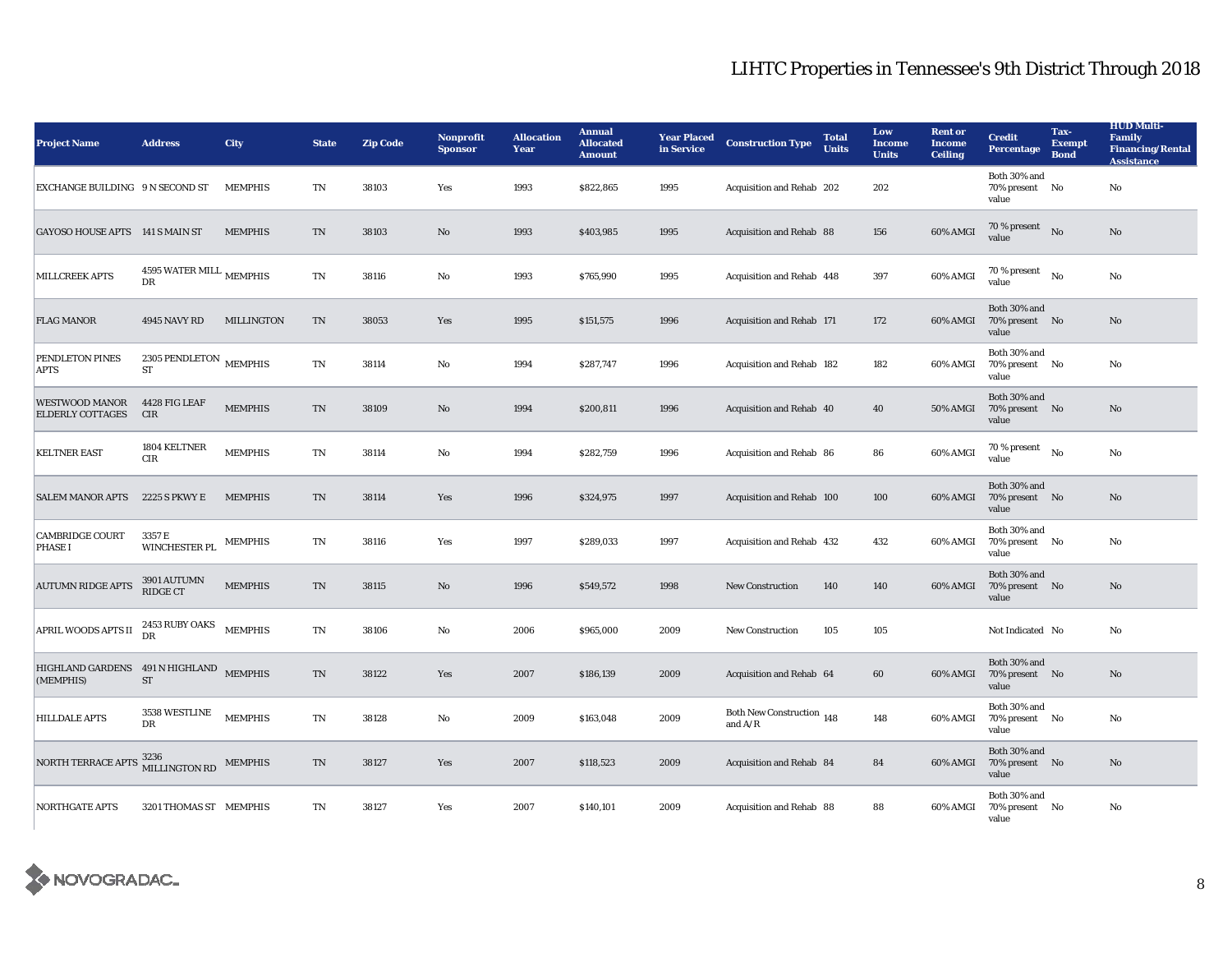| <b>Project Name</b>                                            | <b>Address</b>                              | <b>City</b>       | <b>State</b>           | <b>Zip Code</b> | <b>Nonprofit</b><br><b>Sponsor</b> | <b>Allocation</b><br>Year | <b>Annual</b><br><b>Allocated</b><br><b>Amount</b> | <b>Year Placed</b><br>in Service | <b>Construction Type</b>               | <b>Total</b><br><b>Units</b> | Low<br><b>Income</b><br><b>Units</b> | <b>Rent or</b><br><b>Income</b><br><b>Ceiling</b> | <b>Credit</b><br><b>Percentage</b>      | Tax-<br><b>Exempt</b><br><b>Bond</b> | <b>HUD Multi-</b><br>Family<br><b>Financing/Rental</b><br><b>Assistance</b> |
|----------------------------------------------------------------|---------------------------------------------|-------------------|------------------------|-----------------|------------------------------------|---------------------------|----------------------------------------------------|----------------------------------|----------------------------------------|------------------------------|--------------------------------------|---------------------------------------------------|-----------------------------------------|--------------------------------------|-----------------------------------------------------------------------------|
| EXCHANGE BUILDING 9 N SECOND ST                                |                                             | <b>MEMPHIS</b>    | TN                     | 38103           | Yes                                | 1993                      | \$822,865                                          | 1995                             | Acquisition and Rehab 202              |                              | 202                                  |                                                   | Both 30% and<br>70% present No<br>value |                                      | No                                                                          |
| GAYOSO HOUSE APTS 141 S MAIN ST                                |                                             | <b>MEMPHIS</b>    | $\rm TN$               | 38103           | No                                 | 1993                      | \$403,985                                          | 1995                             | Acquisition and Rehab 88               |                              | 156                                  | 60% AMGI                                          | 70 % present<br>value                   | $\rm No$                             | $\mathbf{No}$                                                               |
| <b>MILLCREEK APTS</b>                                          | 4595 WATER MILL MEMPHIS<br>DR               |                   | TN                     | 38116           | No                                 | 1993                      | \$765,990                                          | 1995                             | Acquisition and Rehab 448              |                              | 397                                  | 60% AMGI                                          | 70 % present<br>value                   | No                                   | No                                                                          |
| <b>FLAG MANOR</b>                                              | 4945 NAVY RD                                | <b>MILLINGTON</b> | $\mathbf{T}\mathbf{N}$ | 38053           | Yes                                | 1995                      | \$151,575                                          | 1996                             | Acquisition and Rehab 171              |                              | 172                                  | 60% AMGI                                          | Both 30% and<br>70% present No<br>value |                                      | $\mathbf{N}\mathbf{o}$                                                      |
| PENDLETON PINES<br><b>APTS</b>                                 | 2305 PENDLETON $$\tt MEMPHIS$$<br><b>ST</b> |                   | TN                     | 38114           | No                                 | 1994                      | \$287,747                                          | 1996                             | Acquisition and Rehab 182              |                              | 182                                  | 60% AMGI                                          | Both 30% and<br>70% present No<br>value |                                      | No                                                                          |
| WESTWOOD MANOR<br><b>ELDERLY COTTAGES</b>                      | 4428 FIG LEAF<br><b>CIR</b>                 | <b>MEMPHIS</b>    | TN                     | 38109           | No                                 | 1994                      | \$200,811                                          | 1996                             | Acquisition and Rehab 40               |                              | 40                                   | 50% AMGI                                          | Both 30% and<br>70% present No<br>value |                                      | No                                                                          |
| <b>KELTNER EAST</b>                                            | 1804 KELTNER<br>CIR                         | <b>MEMPHIS</b>    | TN                     | 38114           | No                                 | 1994                      | \$282,759                                          | 1996                             | Acquisition and Rehab 86               |                              | 86                                   | 60% AMGI                                          | 70 % present<br>value                   | No                                   | No                                                                          |
| <b>SALEM MANOR APTS</b>                                        | 2225 S PKWY E                               | <b>MEMPHIS</b>    | TN                     | 38114           | Yes                                | 1996                      | \$324,975                                          | 1997                             | Acquisition and Rehab 100              |                              | 100                                  | 60% AMGI                                          | Both 30% and<br>70% present No<br>value |                                      | No                                                                          |
| <b>CAMBRIDGE COURT</b><br><b>PHASE I</b>                       | 3357 E<br>WINCHESTER PL                     | <b>MEMPHIS</b>    | TN                     | 38116           | Yes                                | 1997                      | \$289,033                                          | 1997                             | Acquisition and Rehab 432              |                              | 432                                  | 60% AMGI                                          | Both 30% and<br>70% present No<br>value |                                      | No                                                                          |
| <b>AUTUMN RIDGE APTS</b>                                       | 3901 AUTUMN<br><b>RIDGE CT</b>              | <b>MEMPHIS</b>    | TN                     | 38115           | No                                 | 1996                      | \$549,572                                          | 1998                             | <b>New Construction</b>                | 140                          | 140                                  | 60% AMGI                                          | Both 30% and<br>70% present No<br>value |                                      | No                                                                          |
| APRIL WOODS APTS II $\frac{2453 \text{ RUBY OAKS}}{\text{DR}}$ |                                             | <b>MEMPHIS</b>    | $\rm TN$               | 38106           | No                                 | 2006                      | \$965,000                                          | 2009                             | <b>New Construction</b>                | 105                          | 105                                  |                                                   | Not Indicated No                        |                                      | No                                                                          |
| HIGHLAND GARDENS 491 N HIGHLAND MEMPHIS<br>(MEMPHIS)           | <b>ST</b>                                   |                   | $\rm TN$               | 38122           | Yes                                | 2007                      | \$186,139                                          | 2009                             | Acquisition and Rehab 64               |                              | 60                                   | 60% AMGI                                          | Both 30% and<br>70% present No<br>value |                                      | No                                                                          |
| <b>HILLDALE APTS</b>                                           | 3538 WESTLINE<br>DR                         | <b>MEMPHIS</b>    | $\rm TN$               | 38128           | No                                 | 2009                      | \$163,048                                          | 2009                             | Both New Construction 148<br>and $A/R$ |                              | 148                                  | 60% AMGI                                          | Both 30% and<br>70% present No<br>value |                                      | No                                                                          |
| NORTH TERRACE APTS                                             | 3236<br>MILLINGTON RD                       | <b>MEMPHIS</b>    | TN                     | 38127           | Yes                                | 2007                      | \$118,523                                          | 2009                             | Acquisition and Rehab 84               |                              | 84                                   | 60% AMGI                                          | Both 30% and<br>70% present No<br>value |                                      | No                                                                          |
| <b>NORTHGATE APTS</b>                                          | 3201 THOMAS ST MEMPHIS                      |                   | TN                     | 38127           | Yes                                | 2007                      | \$140,101                                          | 2009                             | Acquisition and Rehab 88               |                              | 88                                   | 60% AMGI                                          | Both 30% and<br>70% present No<br>value |                                      | No                                                                          |

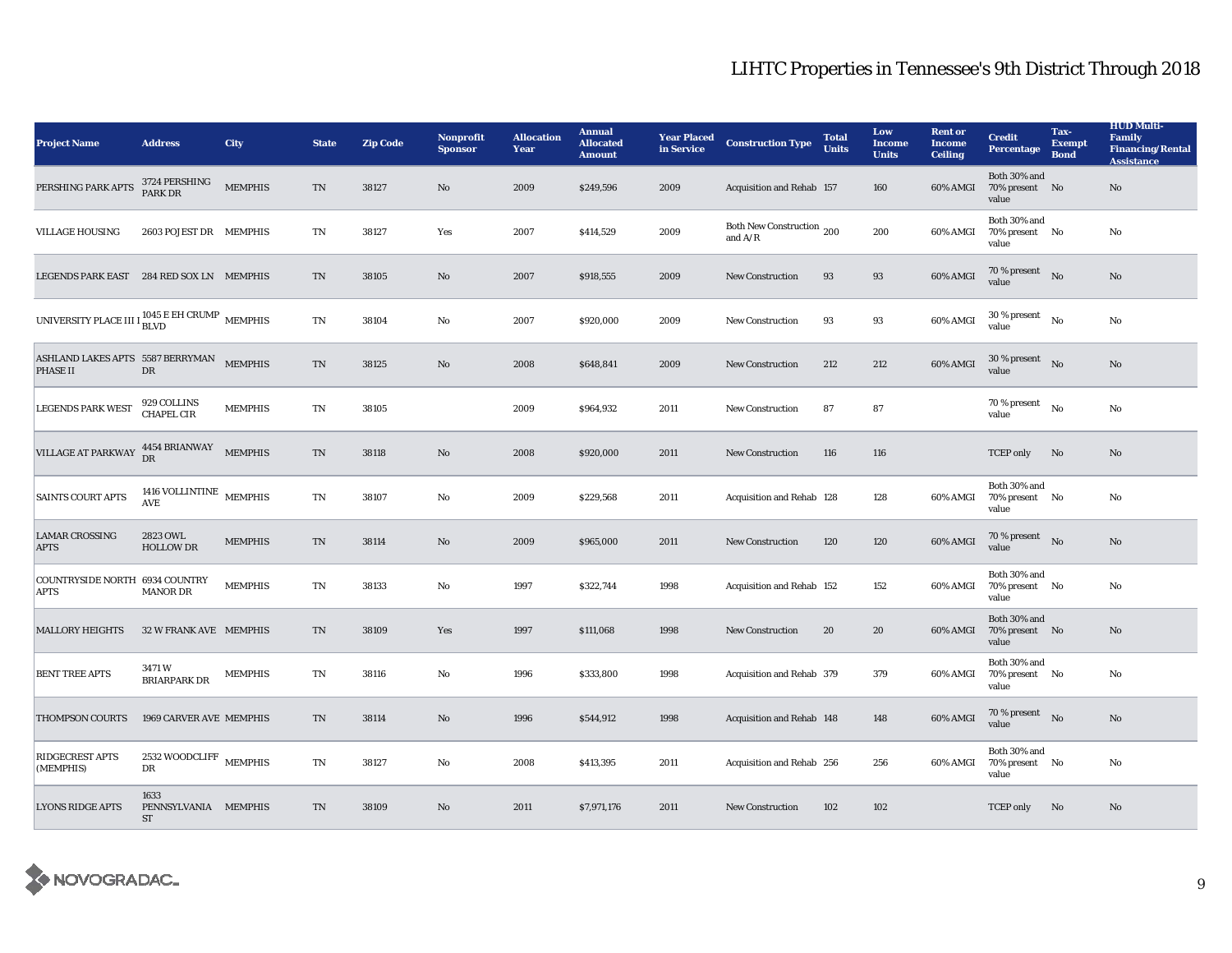| <b>Project Name</b>                                                       | <b>Address</b>                                | <b>City</b>    | <b>State</b>               | <b>Zip Code</b> | Nonprofit<br><b>Sponsor</b> | <b>Allocation</b><br>Year | <b>Annual</b><br><b>Allocated</b><br><b>Amount</b> | <b>Year Placed</b><br>in Service | <b>Construction Type</b>               | <b>Total</b><br><b>Units</b> | Low<br><b>Income</b><br><b>Units</b> | <b>Rent or</b><br><b>Income</b><br><b>Ceiling</b> | <b>Credit</b><br><b>Percentage</b>      | Tax-<br><b>Exempt</b><br><b>Bond</b> | <b>HUD Multi-</b><br>Family<br><b>Financing/Rental</b><br><b>Assistance</b> |
|---------------------------------------------------------------------------|-----------------------------------------------|----------------|----------------------------|-----------------|-----------------------------|---------------------------|----------------------------------------------------|----------------------------------|----------------------------------------|------------------------------|--------------------------------------|---------------------------------------------------|-----------------------------------------|--------------------------------------|-----------------------------------------------------------------------------|
| PERSHING PARK APTS                                                        | 3724 PERSHING<br>PARK DR                      | <b>MEMPHIS</b> | TN                         | 38127           | No                          | 2009                      | \$249,596                                          | 2009                             | Acquisition and Rehab 157              |                              | 160                                  | 60% AMGI                                          | Both 30% and<br>70% present No<br>value |                                      | No                                                                          |
| <b>VILLAGE HOUSING</b>                                                    | 2603 POJEST DR MEMPHIS                        |                | TN                         | 38127           | Yes                         | 2007                      | \$414,529                                          | 2009                             | Both New Construction 200<br>and $A/R$ |                              | 200                                  | 60% AMGI                                          | Both 30% and<br>70% present No<br>value |                                      | No                                                                          |
| LEGENDS PARK EAST 284 RED SOX LN MEMPHIS                                  |                                               |                | TN                         | 38105           | $\mathbf{N}\mathbf{o}$      | 2007                      | \$918,555                                          | 2009                             | <b>New Construction</b>                | 93                           | 93                                   | 60% AMGI                                          | 70 % present $N$ o<br>value             |                                      | No                                                                          |
| UNIVERSITY PLACE III I $_{\hbox{BLVD}}^{1045 \hbox{ E EH CRUMP}}$ MEMPHIS |                                               |                | TN                         | 38104           | No                          | 2007                      | \$920,000                                          | 2009                             | <b>New Construction</b>                | 93                           | 93                                   | 60% AMGI                                          | 30 % present<br>value                   | $\mathbf{N}\mathbf{o}$               | No                                                                          |
| ASHLAND LAKES APTS 5587 BERRYMAN<br><b>PHASE II</b>                       | DR                                            | <b>MEMPHIS</b> | TN                         | 38125           | No                          | 2008                      | \$648,841                                          | 2009                             | New Construction                       | 212                          | 212                                  | 60% AMGI                                          | $30\,\%$ present $$$ No $$$<br>value    |                                      | No                                                                          |
| <b>LEGENDS PARK WEST</b>                                                  | 929 COLLINS<br><b>CHAPEL CIR</b>              | <b>MEMPHIS</b> | TN                         | 38105           |                             | 2009                      | \$964,932                                          | 2011                             | New Construction                       | 87                           | 87                                   |                                                   | 70 % present<br>value                   | $\rm No$                             | $\mathbf{No}$                                                               |
| <b>VILLAGE AT PARKWAY</b>                                                 | 4454 BRIANWAY<br>DR                           | <b>MEMPHIS</b> | TN                         | 38118           | No                          | 2008                      | \$920,000                                          | 2011                             | <b>New Construction</b>                | 116                          | 116                                  |                                                   | <b>TCEP</b> only                        | No                                   | No                                                                          |
| <b>SAINTS COURT APTS</b>                                                  | 1416 VOLLINTINE $$\tt MEMPHIS$$<br><b>AVE</b> |                | $\mathop{\rm TN}\nolimits$ | 38107           | No                          | 2009                      | \$229,568                                          | 2011                             | Acquisition and Rehab 128              |                              | 128                                  | 60% AMGI                                          | Both 30% and<br>70% present No<br>value |                                      | No                                                                          |
| <b>LAMAR CROSSING</b><br><b>APTS</b>                                      | 2823 OWL<br><b>HOLLOW DR</b>                  | <b>MEMPHIS</b> | TN                         | 38114           | No                          | 2009                      | \$965,000                                          | 2011                             | <b>New Construction</b>                | 120                          | 120                                  | 60% AMGI                                          | 70 % present $N0$<br>value              |                                      | No                                                                          |
| COUNTRYSIDE NORTH 6934 COUNTRY<br><b>APTS</b>                             | <b>MANOR DR</b>                               | <b>MEMPHIS</b> | TN                         | 38133           | No                          | 1997                      | \$322,744                                          | 1998                             | Acquisition and Rehab 152              |                              | 152                                  | 60% AMGI                                          | Both 30% and<br>70% present No<br>value |                                      | No                                                                          |
| <b>MALLORY HEIGHTS</b>                                                    | 32 W FRANK AVE MEMPHIS                        |                | TN                         | 38109           | Yes                         | 1997                      | \$111,068                                          | 1998                             | <b>New Construction</b>                | 20                           | 20                                   | 60% AMGI                                          | Both 30% and<br>70% present No<br>value |                                      | No                                                                          |
| <b>BENT TREE APTS</b>                                                     | 3471W<br><b>BRIARPARK DR</b>                  | <b>MEMPHIS</b> | TN                         | 38116           | No                          | 1996                      | \$333,800                                          | 1998                             | Acquisition and Rehab 379              |                              | 379                                  | 60% AMGI                                          | Both 30% and<br>70% present No<br>value |                                      | No                                                                          |
| <b>THOMPSON COURTS</b>                                                    | 1969 CARVER AVE MEMPHIS                       |                | TN                         | 38114           | No                          | 1996                      | \$544,912                                          | 1998                             | Acquisition and Rehab 148              |                              | 148                                  | 60% AMGI                                          | $70\,\%$ present $$\rm{No}$$ value      |                                      | No                                                                          |
| <b>RIDGECREST APTS</b><br>(MEMPHIS)                                       | 2532 WOODCLIFF MEMPHIS<br>DR                  |                | $\mathbf{T}\mathbf{N}$     | 38127           | No                          | 2008                      | \$413,395                                          | 2011                             | Acquisition and Rehab 256              |                              | 256                                  | 60% AMGI                                          | Both 30% and<br>70% present No<br>value |                                      | No                                                                          |
| <b>LYONS RIDGE APTS</b>                                                   | 1633<br>PENNSYLVANIA MEMPHIS<br><b>ST</b>     |                | TN                         | 38109           | No                          | 2011                      | \$7,971,176                                        | 2011                             | <b>New Construction</b>                | 102                          | 102                                  |                                                   | <b>TCEP</b> only                        | No                                   | No                                                                          |

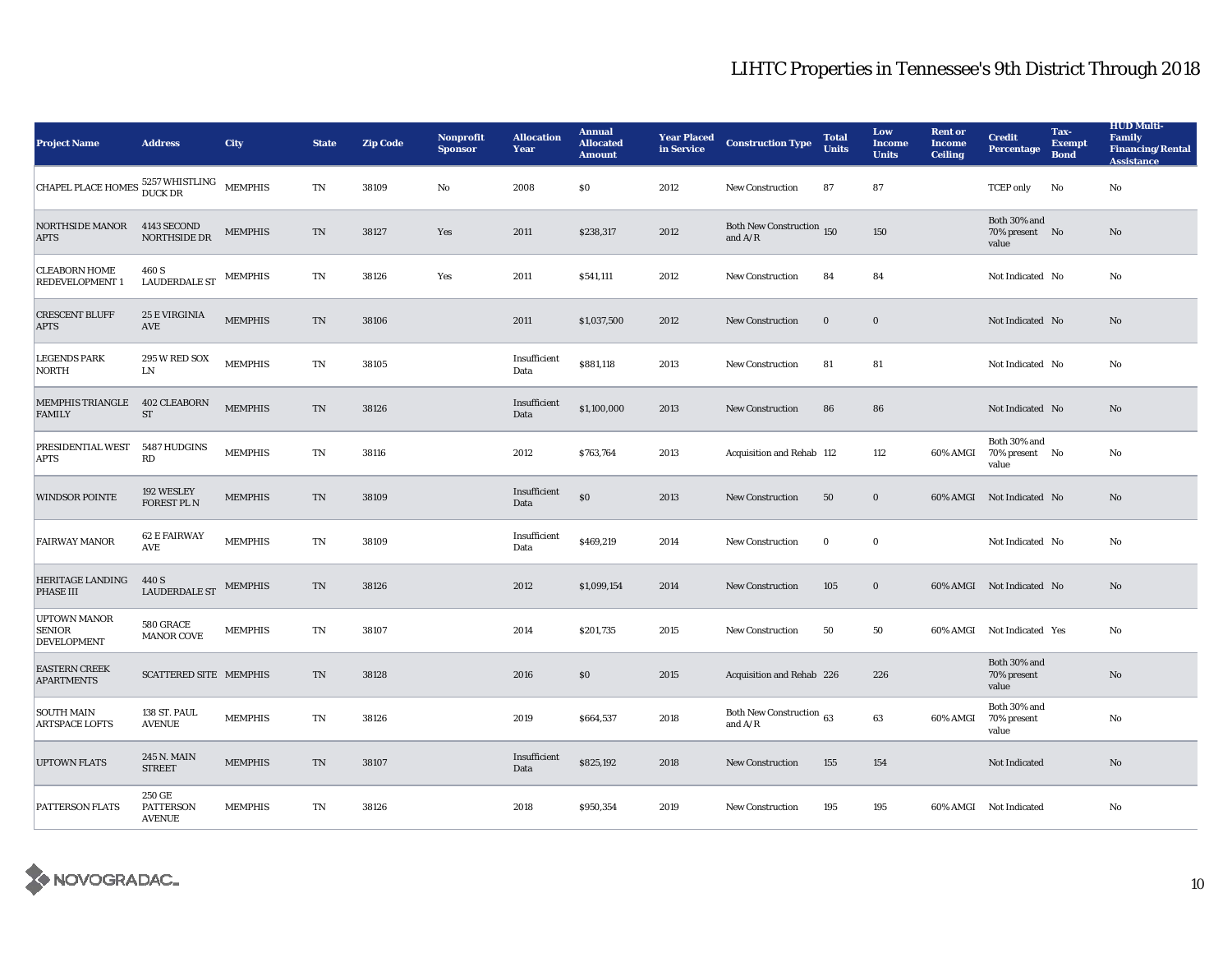| <b>Project Name</b>                                        | <b>Address</b>                              | <b>City</b>    | <b>State</b>               | <b>Zip Code</b> | <b>Nonprofit</b><br><b>Sponsor</b> | <b>Allocation</b><br>Year | <b>Annual</b><br><b>Allocated</b><br><b>Amount</b> | <b>Year Placed</b><br>in Service | <b>Construction Type</b>               | <b>Total</b><br><b>Units</b> | Low<br><b>Income</b><br><b>Units</b> | <b>Rent or</b><br><b>Income</b><br><b>Ceiling</b> | <b>Credit</b><br><b>Percentage</b>      | Tax-<br><b>Exempt</b><br><b>Bond</b> | <b>HUD Multi-</b><br><b>Family</b><br><b>Financing/Rental</b><br><b>Assistance</b> |
|------------------------------------------------------------|---------------------------------------------|----------------|----------------------------|-----------------|------------------------------------|---------------------------|----------------------------------------------------|----------------------------------|----------------------------------------|------------------------------|--------------------------------------|---------------------------------------------------|-----------------------------------------|--------------------------------------|------------------------------------------------------------------------------------|
| CHAPEL PLACE HOMES $^{5257\,}_{\rm Duck\,DR}$ MEMPHIS      |                                             |                | $\rm TN$                   | 38109           | No                                 | 2008                      | \$0\$                                              | 2012                             | <b>New Construction</b>                | 87                           | 87                                   |                                                   | <b>TCEP</b> only                        | No                                   | No                                                                                 |
| <b>NORTHSIDE MANOR</b><br><b>APTS</b>                      | 4143 SECOND<br><b>NORTHSIDE DR</b>          | <b>MEMPHIS</b> | TN                         | 38127           | Yes                                | 2011                      | \$238,317                                          | 2012                             | Both New Construction 150<br>and $A/R$ |                              | 150                                  |                                                   | Both 30% and<br>70% present No<br>value |                                      | No                                                                                 |
| <b>CLEABORN HOME</b><br>REDEVELOPMENT 1                    | 460 S<br>${\tt LAUDERDALE}$ ST              | <b>MEMPHIS</b> | $\mathop{\rm TN}\nolimits$ | 38126           | Yes                                | 2011                      | \$541,111                                          | 2012                             | <b>New Construction</b>                | 84                           | 84                                   |                                                   | Not Indicated No                        |                                      | No                                                                                 |
| <b>CRESCENT BLUFF</b><br><b>APTS</b>                       | <b>25 E VIRGINIA</b><br>AVE                 | <b>MEMPHIS</b> | TN                         | 38106           |                                    | 2011                      | \$1,037,500                                        | 2012                             | <b>New Construction</b>                | $\bf{0}$                     | $\bf{0}$                             |                                                   | Not Indicated No                        |                                      | No                                                                                 |
| <b>LEGENDS PARK</b><br><b>NORTH</b>                        | 295 W RED SOX<br>LN                         | <b>MEMPHIS</b> | TN                         | 38105           |                                    | Insufficient<br>Data      | \$881,118                                          | 2013                             | <b>New Construction</b>                | 81                           | 81                                   |                                                   | Not Indicated No                        |                                      | No                                                                                 |
| <b>MEMPHIS TRIANGLE</b><br><b>FAMILY</b>                   | <b>402 CLEABORN</b><br><b>ST</b>            | <b>MEMPHIS</b> | TN                         | 38126           |                                    | Insufficient<br>Data      | \$1,100,000                                        | 2013                             | <b>New Construction</b>                | 86                           | 86                                   |                                                   | Not Indicated No                        |                                      | No                                                                                 |
| PRESIDENTIAL WEST<br><b>APTS</b>                           | 5487 HUDGINS<br>RD                          | <b>MEMPHIS</b> | $\mathop{\rm TN}\nolimits$ | 38116           |                                    | 2012                      | \$763,764                                          | 2013                             | Acquisition and Rehab 112              |                              | 112                                  | 60% AMGI                                          | Both 30% and<br>70% present No<br>value |                                      | No                                                                                 |
| <b>WINDSOR POINTE</b>                                      | 192 WESLEY<br>FOREST PL N                   | <b>MEMPHIS</b> | $\mathbf{T}\mathbf{N}$     | 38109           |                                    | Insufficient<br>Data      | $\$0$                                              | 2013                             | New Construction                       | 50                           | $\mathbf 0$                          |                                                   | 60% AMGI Not Indicated No               |                                      | No                                                                                 |
| <b>FAIRWAY MANOR</b>                                       | <b>62 E FAIRWAY</b><br>AVE                  | <b>MEMPHIS</b> | TN                         | 38109           |                                    | Insufficient<br>Data      | \$469,219                                          | 2014                             | New Construction                       | $\bf{0}$                     | $\bf{0}$                             |                                                   | Not Indicated No                        |                                      | No                                                                                 |
| <b>HERITAGE LANDING</b><br><b>PHASE III</b>                | 440 S<br><b>LAUDERDALE ST</b>               | <b>MEMPHIS</b> | TN                         | 38126           |                                    | 2012                      | \$1,099,154                                        | 2014                             | <b>New Construction</b>                | 105                          | $\bf{0}$                             |                                                   | 60% AMGI Not Indicated No               |                                      | No                                                                                 |
| <b>UPTOWN MANOR</b><br><b>SENIOR</b><br><b>DEVELOPMENT</b> | 580 GRACE<br><b>MANOR COVE</b>              | <b>MEMPHIS</b> | TN                         | 38107           |                                    | 2014                      | \$201,735                                          | 2015                             | <b>New Construction</b>                | 50                           | 50                                   | 60% AMGI                                          | Not Indicated Yes                       |                                      | No                                                                                 |
| <b>EASTERN CREEK</b><br><b>APARTMENTS</b>                  | <b>SCATTERED SITE MEMPHIS</b>               |                | TN                         | 38128           |                                    | 2016                      | \$0                                                | 2015                             | Acquisition and Rehab 226              |                              | 226                                  |                                                   | Both 30% and<br>70% present<br>value    |                                      | $\rm No$                                                                           |
| <b>SOUTH MAIN</b><br><b>ARTSPACE LOFTS</b>                 | 138 ST. PAUL<br><b>AVENUE</b>               | <b>MEMPHIS</b> | TN                         | 38126           |                                    | 2019                      | \$664,537                                          | 2018                             | Both New Construction 63<br>and $A/R$  |                              | 63                                   | 60% AMGI                                          | Both 30% and<br>70% present<br>value    |                                      | No                                                                                 |
| <b>UPTOWN FLATS</b>                                        | 245 N. MAIN<br><b>STREET</b>                | <b>MEMPHIS</b> | TN                         | 38107           |                                    | Insufficient<br>Data      | \$825,192                                          | 2018                             | <b>New Construction</b>                | 155                          | 154                                  |                                                   | Not Indicated                           |                                      | No                                                                                 |
| <b>PATTERSON FLATS</b>                                     | 250 GE<br><b>PATTERSON</b><br><b>AVENUE</b> | <b>MEMPHIS</b> | TN                         | 38126           |                                    | 2018                      | \$950,354                                          | 2019                             | <b>New Construction</b>                | 195                          | 195                                  |                                                   | 60% AMGI Not Indicated                  |                                      | No                                                                                 |